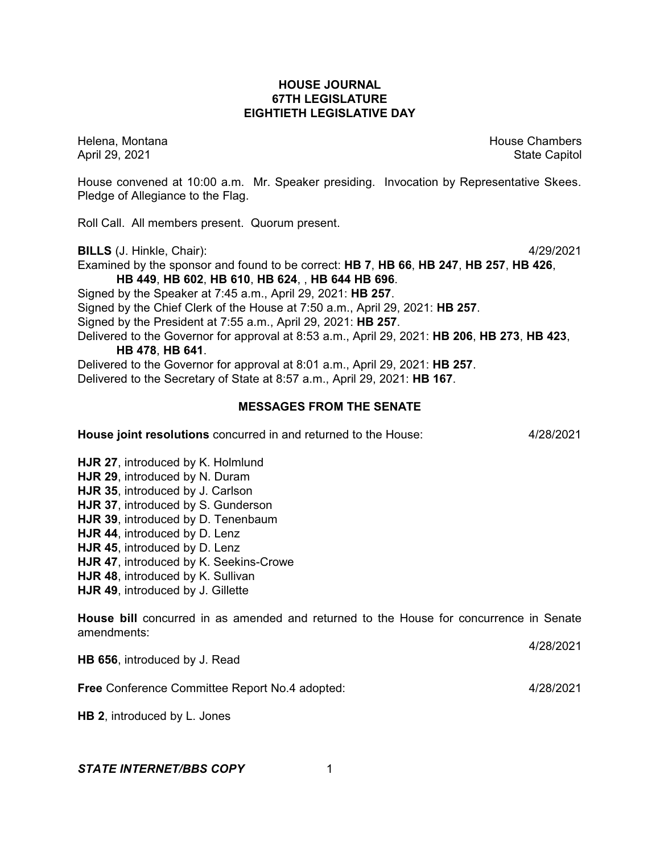## **HOUSE JOURNAL 67TH LEGISLATURE EIGHTIETH LEGISLATIVE DAY**

Helena, Montana House Chambers Chambers Chambers Chambers Chambers Chambers Chambers Chambers Chambers Chambers April 29, 2021 State Capitol

House convened at 10:00 a.m. Mr. Speaker presiding. Invocation by Representative Skees. Pledge of Allegiance to the Flag.

Roll Call. All members present. Quorum present.

**BILLS** (J. Hinkle, Chair): 4/29/2021

Examined by the sponsor and found to be correct: **HB 7**, **HB 66**, **HB 247**, **HB 257**, **HB 426**, **HB 449**, **HB 602**, **HB 610**, **HB 624**, , **HB 644 HB 696**.

Signed by the Speaker at 7:45 a.m., April 29, 2021: **HB 257**.

Signed by the Chief Clerk of the House at 7:50 a.m., April 29, 2021: **HB 257**.

Signed by the President at 7:55 a.m., April 29, 2021: **HB 257**.

Delivered to the Governor for approval at 8:53 a.m., April 29, 2021: **HB 206**, **HB 273**, **HB 423**, **HB 478**, **HB 641**.

Delivered to the Governor for approval at 8:01 a.m., April 29, 2021: **HB 257**.

Delivered to the Secretary of State at 8:57 a.m., April 29, 2021: **HB 167**.

# **MESSAGES FROM THE SENATE**

**House joint resolutions** concurred in and returned to the House: 4/28/2021

**HJR 27**, introduced by K. Holmlund

- **HJR 29**, introduced by N. Duram
- **HJR 35**, introduced by J. Carlson
- **HJR 37**, introduced by S. Gunderson
- **HJR 39**, introduced by D. Tenenbaum
- **HJR 44**, introduced by D. Lenz
- **HJR 45**, introduced by D. Lenz
- **HJR 47**, introduced by K. Seekins-Crowe
- **HJR 48**, introduced by K. Sullivan
- **HJR 49**, introduced by J. Gillette

**House bill** concurred in as amended and returned to the House for concurrence in Senate amendments:

4/28/2021

**HB 656**, introduced by J. Read

**Free** Conference Committee Report No.4 adopted: 4/28/2021

**HB 2**, introduced by L. Jones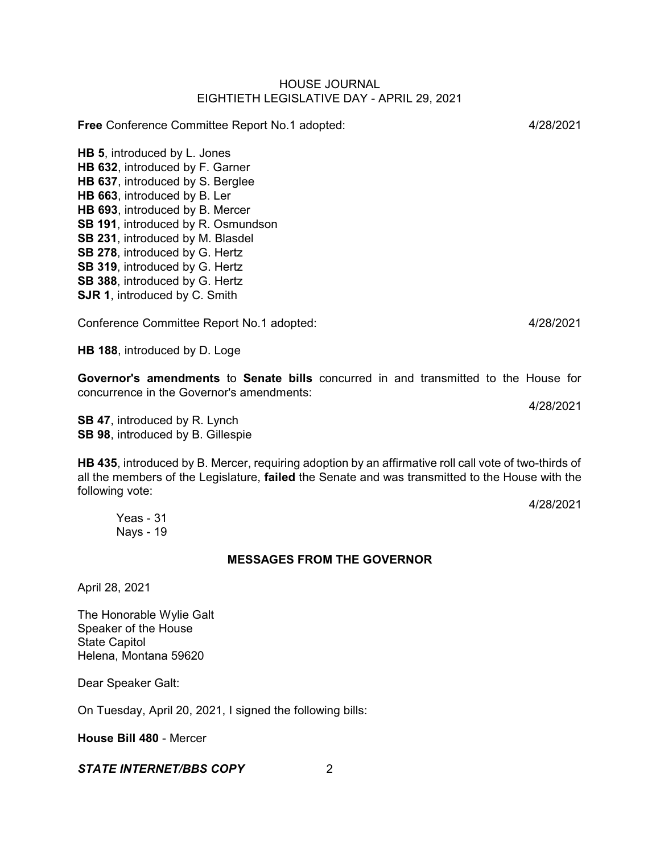**Free** Conference Committee Report No.1 adopted: 4/28/2021

**HB 5**, introduced by L. Jones **HB 632**, introduced by F. Garner **HB 637**, introduced by S. Berglee **HB 663**, introduced by B. Ler **HB 693**, introduced by B. Mercer **SB 191**, introduced by R. Osmundson **SB 231**, introduced by M. Blasdel **SB 278**, introduced by G. Hertz **SB 319**, introduced by G. Hertz **SB 388**, introduced by G. Hertz **SJR 1**, introduced by C. Smith

Conference Committee Report No.1 adopted: 4/28/2021

**HB 188**, introduced by D. Loge

**Governor's amendments** to **Senate bills** concurred in and transmitted to the House for concurrence in the Governor's amendments:

**SB 47**, introduced by R. Lynch **SB 98**, introduced by B. Gillespie

**HB 435**, introduced by B. Mercer, requiring adoption by an affirmative roll call vote of two-thirds of all the members of the Legislature, **failed** the Senate and was transmitted to the House with the following vote:

4/28/2021

Yeas - 31 Nays - 19

## **MESSAGES FROM THE GOVERNOR**

April 28, 2021

The Honorable Wylie Galt Speaker of the House State Capitol Helena, Montana 59620

Dear Speaker Galt:

On Tuesday, April 20, 2021, I signed the following bills:

**House Bill 480** - Mercer

## *STATE INTERNET/BBS COPY* 2

4/28/2021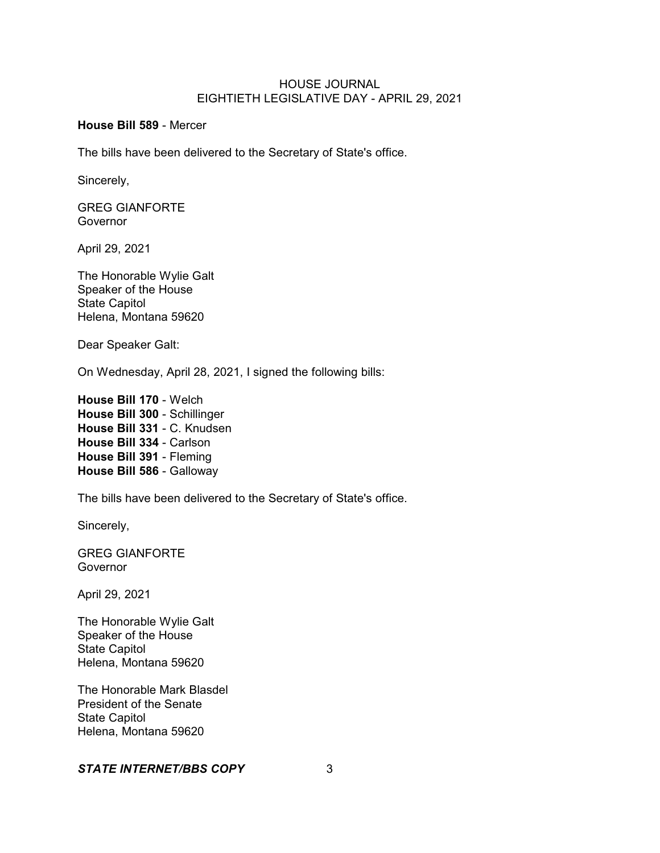## **House Bill 589** - Mercer

The bills have been delivered to the Secretary of State's office.

Sincerely,

GREG GIANFORTE Governor

April 29, 2021

The Honorable Wylie Galt Speaker of the House State Capitol Helena, Montana 59620

Dear Speaker Galt:

On Wednesday, April 28, 2021, I signed the following bills:

**House Bill 170** - Welch **House Bill 300** - Schillinger **House Bill 331** - C. Knudsen **House Bill 334** - Carlson **House Bill 391** - Fleming **House Bill 586** - Galloway

The bills have been delivered to the Secretary of State's office.

Sincerely,

GREG GIANFORTE Governor

April 29, 2021

The Honorable Wylie Galt Speaker of the House State Capitol Helena, Montana 59620

The Honorable Mark Blasdel President of the Senate State Capitol Helena, Montana 59620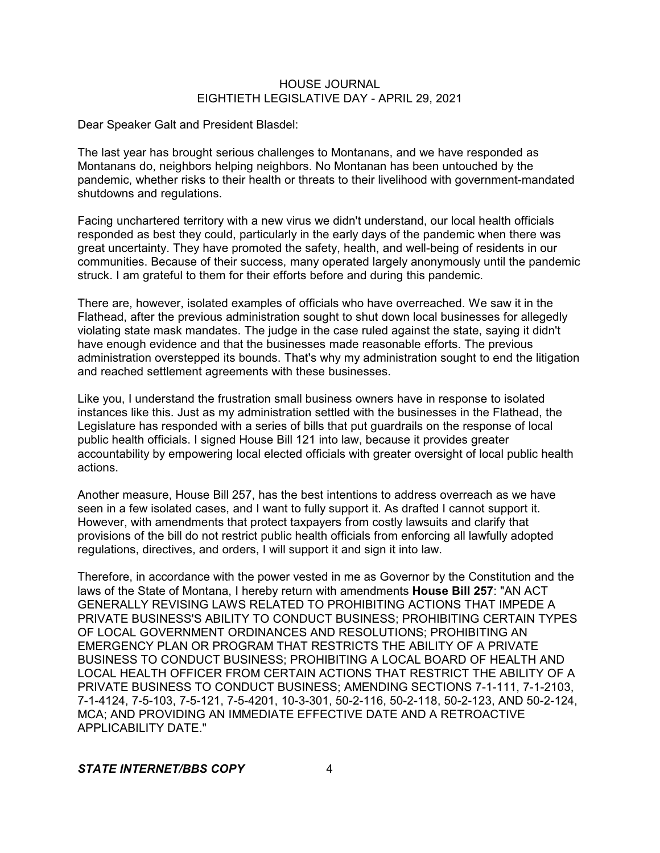Dear Speaker Galt and President Blasdel:

The last year has brought serious challenges to Montanans, and we have responded as Montanans do, neighbors helping neighbors. No Montanan has been untouched by the pandemic, whether risks to their health or threats to their livelihood with government-mandated shutdowns and regulations.

Facing unchartered territory with a new virus we didn't understand, our local health officials responded as best they could, particularly in the early days of the pandemic when there was great uncertainty. They have promoted the safety, health, and well-being of residents in our communities. Because of their success, many operated largely anonymously until the pandemic struck. I am grateful to them for their efforts before and during this pandemic.

There are, however, isolated examples of officials who have overreached. We saw it in the Flathead, after the previous administration sought to shut down local businesses for allegedly violating state mask mandates. The judge in the case ruled against the state, saying it didn't have enough evidence and that the businesses made reasonable efforts. The previous administration overstepped its bounds. That's why my administration sought to end the litigation and reached settlement agreements with these businesses.

Like you, I understand the frustration small business owners have in response to isolated instances like this. Just as my administration settled with the businesses in the Flathead, the Legislature has responded with a series of bills that put guardrails on the response of local public health officials. I signed House Bill 121 into law, because it provides greater accountability by empowering local elected officials with greater oversight of local public health actions.

Another measure, House Bill 257, has the best intentions to address overreach as we have seen in a few isolated cases, and I want to fully support it. As drafted I cannot support it. However, with amendments that protect taxpayers from costly lawsuits and clarify that provisions of the bill do not restrict public health officials from enforcing all lawfully adopted regulations, directives, and orders, I will support it and sign it into law.

Therefore, in accordance with the power vested in me as Governor by the Constitution and the laws of the State of Montana, I hereby return with amendments **House Bill 257**: "AN ACT GENERALLY REVISING LAWS RELATED TO PROHIBITING ACTIONS THAT IMPEDE A PRIVATE BUSINESS'S ABILITY TO CONDUCT BUSINESS; PROHIBITING CERTAIN TYPES OF LOCAL GOVERNMENT ORDINANCES AND RESOLUTIONS; PROHIBITING AN EMERGENCY PLAN OR PROGRAM THAT RESTRICTS THE ABILITY OF A PRIVATE BUSINESS TO CONDUCT BUSINESS; PROHIBITING A LOCAL BOARD OF HEALTH AND LOCAL HEALTH OFFICER FROM CERTAIN ACTIONS THAT RESTRICT THE ABILITY OF A PRIVATE BUSINESS TO CONDUCT BUSINESS; AMENDING SECTIONS 7-1-111, 7-1-2103, 7-1-4124, 7-5-103, 7-5-121, 7-5-4201, 10-3-301, 50-2-116, 50-2-118, 50-2-123, AND 50-2-124, MCA; AND PROVIDING AN IMMEDIATE EFFECTIVE DATE AND A RETROACTIVE APPLICABILITY DATE."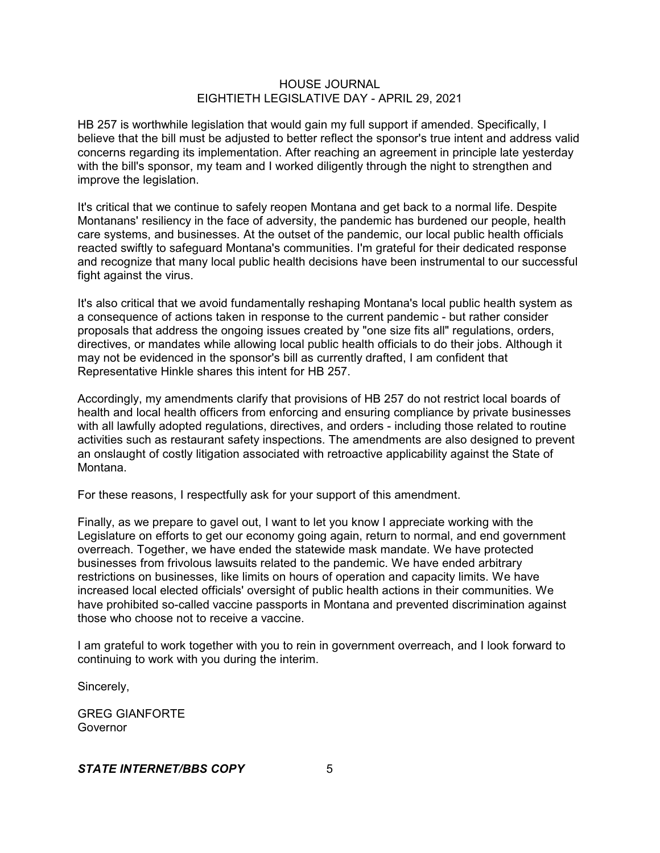HB 257 is worthwhile legislation that would gain my full support if amended. Specifically, I believe that the bill must be adjusted to better reflect the sponsor's true intent and address valid concerns regarding its implementation. After reaching an agreement in principle late yesterday with the bill's sponsor, my team and I worked diligently through the night to strengthen and improve the legislation.

It's critical that we continue to safely reopen Montana and get back to a normal life. Despite Montanans' resiliency in the face of adversity, the pandemic has burdened our people, health care systems, and businesses. At the outset of the pandemic, our local public health officials reacted swiftly to safeguard Montana's communities. I'm grateful for their dedicated response and recognize that many local public health decisions have been instrumental to our successful fight against the virus.

It's also critical that we avoid fundamentally reshaping Montana's local public health system as a consequence of actions taken in response to the current pandemic - but rather consider proposals that address the ongoing issues created by "one size fits all" regulations, orders, directives, or mandates while allowing local public health officials to do their jobs. Although it may not be evidenced in the sponsor's bill as currently drafted, I am confident that Representative Hinkle shares this intent for HB 257.

Accordingly, my amendments clarify that provisions of HB 257 do not restrict local boards of health and local health officers from enforcing and ensuring compliance by private businesses with all lawfully adopted regulations, directives, and orders - including those related to routine activities such as restaurant safety inspections. The amendments are also designed to prevent an onslaught of costly litigation associated with retroactive applicability against the State of Montana.

For these reasons, I respectfully ask for your support of this amendment.

Finally, as we prepare to gavel out, I want to let you know I appreciate working with the Legislature on efforts to get our economy going again, return to normal, and end government overreach. Together, we have ended the statewide mask mandate. We have protected businesses from frivolous lawsuits related to the pandemic. We have ended arbitrary restrictions on businesses, like limits on hours of operation and capacity limits. We have increased local elected officials' oversight of public health actions in their communities. We have prohibited so-called vaccine passports in Montana and prevented discrimination against those who choose not to receive a vaccine.

I am grateful to work together with you to rein in government overreach, and I look forward to continuing to work with you during the interim.

Sincerely,

GREG GIANFORTE **Governor**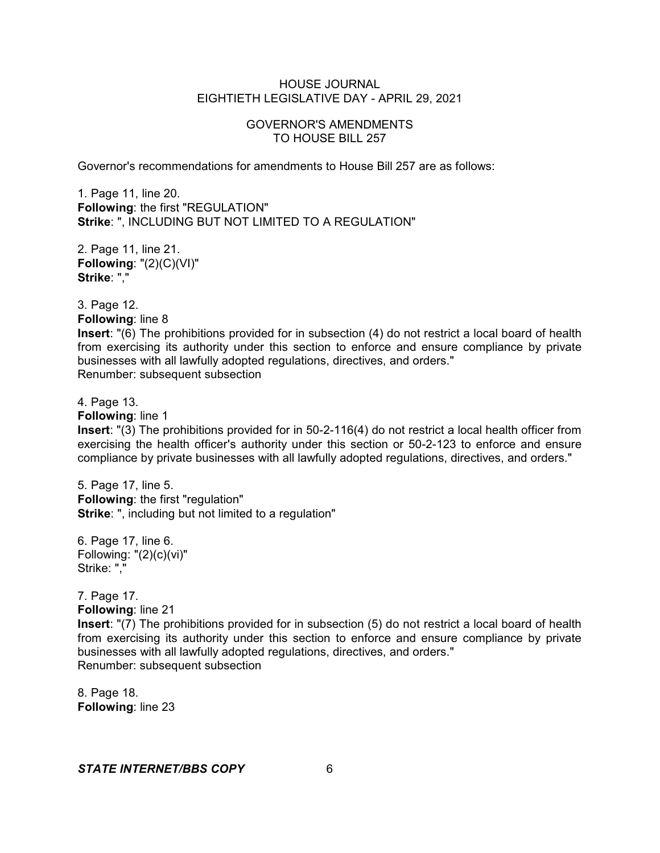## GOVERNOR'S AMENDMENTS TO HOUSE BILL 257

Governor's recommendations for amendments to House Bill 257 are as follows:

1. Page 11, line 20. **Following**: the first "REGULATION" **Strike**: ", INCLUDING BUT NOT LIMITED TO A REGULATION"

2. Page 11, line 21. **Following**: "(2)(C)(VI)" **Strike**: ","

3. Page 12. **Following**: line 8

**Insert**: "(6) The prohibitions provided for in subsection (4) do not restrict a local board of health from exercising its authority under this section to enforce and ensure compliance by private businesses with all lawfully adopted regulations, directives, and orders." Renumber: subsequent subsection

4. Page 13.

**Following**: line 1

**Insert**: "(3) The prohibitions provided for in 50-2-116(4) do not restrict a local health officer from exercising the health officer's authority under this section or 50-2-123 to enforce and ensure compliance by private businesses with all lawfully adopted regulations, directives, and orders."

5. Page 17, line 5. **Following**: the first "regulation" **Strike**: ", including but not limited to a regulation"

6. Page 17, line 6. Following: "(2)(c)(vi)" Strike: ","

7. Page 17. **Following**: line 21 **Insert**: "(7) The prohibitions provided for in subsection (5) do not restrict a local board of health from exercising its authority under this section to enforce and ensure compliance by private businesses with all lawfully adopted regulations, directives, and orders." Renumber: subsequent subsection

8. Page 18. **Following**: line 23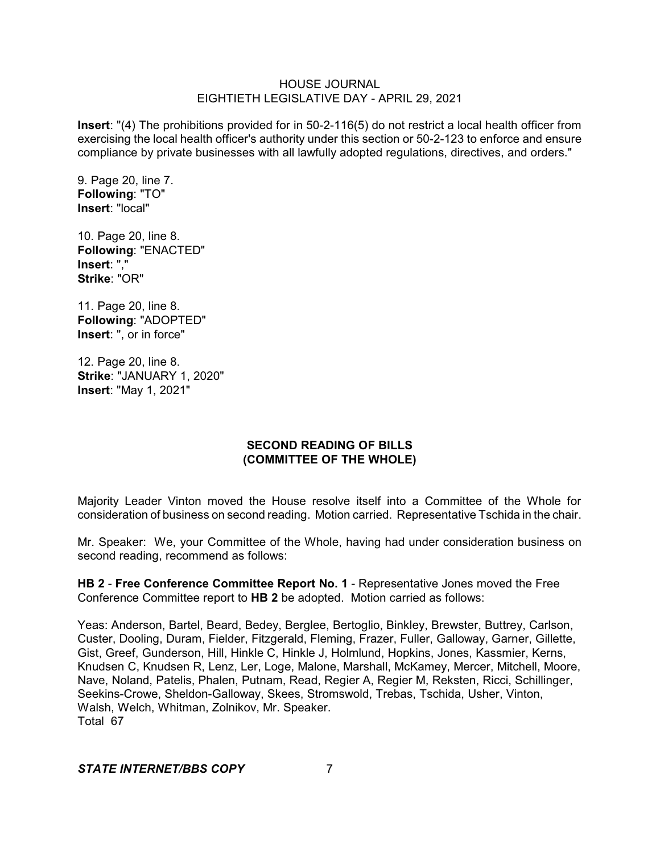**Insert**: "(4) The prohibitions provided for in 50-2-116(5) do not restrict a local health officer from exercising the local health officer's authority under this section or 50-2-123 to enforce and ensure compliance by private businesses with all lawfully adopted regulations, directives, and orders."

9. Page 20, line 7. **Following**: "TO" **Insert**: "local"

10. Page 20, line 8. **Following**: "ENACTED" **Insert**: "," **Strike**: "OR"

11. Page 20, line 8. **Following**: "ADOPTED" **Insert**: ", or in force"

12. Page 20, line 8. **Strike**: "JANUARY 1, 2020" **Insert**: "May 1, 2021"

# **SECOND READING OF BILLS (COMMITTEE OF THE WHOLE)**

Majority Leader Vinton moved the House resolve itself into a Committee of the Whole for consideration of business on second reading. Motion carried. Representative Tschida in the chair.

Mr. Speaker: We, your Committee of the Whole, having had under consideration business on second reading, recommend as follows:

**HB 2** - **Free Conference Committee Report No. 1** - Representative Jones moved the Free Conference Committee report to **HB 2** be adopted. Motion carried as follows:

Yeas: Anderson, Bartel, Beard, Bedey, Berglee, Bertoglio, Binkley, Brewster, Buttrey, Carlson, Custer, Dooling, Duram, Fielder, Fitzgerald, Fleming, Frazer, Fuller, Galloway, Garner, Gillette, Gist, Greef, Gunderson, Hill, Hinkle C, Hinkle J, Holmlund, Hopkins, Jones, Kassmier, Kerns, Knudsen C, Knudsen R, Lenz, Ler, Loge, Malone, Marshall, McKamey, Mercer, Mitchell, Moore, Nave, Noland, Patelis, Phalen, Putnam, Read, Regier A, Regier M, Reksten, Ricci, Schillinger, Seekins-Crowe, Sheldon-Galloway, Skees, Stromswold, Trebas, Tschida, Usher, Vinton, Walsh, Welch, Whitman, Zolnikov, Mr. Speaker. Total 67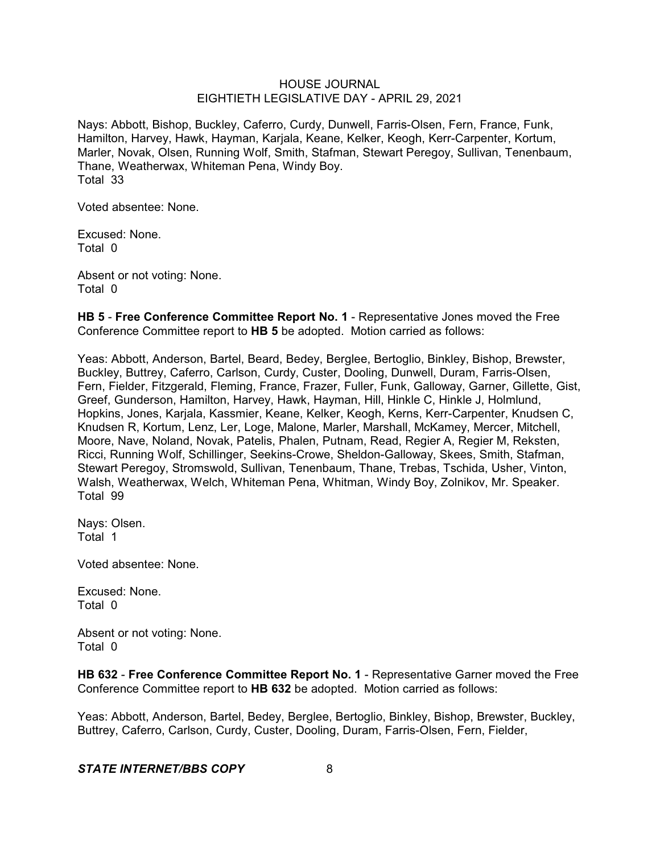Nays: Abbott, Bishop, Buckley, Caferro, Curdy, Dunwell, Farris-Olsen, Fern, France, Funk, Hamilton, Harvey, Hawk, Hayman, Karjala, Keane, Kelker, Keogh, Kerr-Carpenter, Kortum, Marler, Novak, Olsen, Running Wolf, Smith, Stafman, Stewart Peregoy, Sullivan, Tenenbaum, Thane, Weatherwax, Whiteman Pena, Windy Boy. Total 33

Voted absentee: None.

Excused: None. Total 0

Absent or not voting: None. Total 0

**HB 5** - **Free Conference Committee Report No. 1** - Representative Jones moved the Free Conference Committee report to **HB 5** be adopted. Motion carried as follows:

Yeas: Abbott, Anderson, Bartel, Beard, Bedey, Berglee, Bertoglio, Binkley, Bishop, Brewster, Buckley, Buttrey, Caferro, Carlson, Curdy, Custer, Dooling, Dunwell, Duram, Farris-Olsen, Fern, Fielder, Fitzgerald, Fleming, France, Frazer, Fuller, Funk, Galloway, Garner, Gillette, Gist, Greef, Gunderson, Hamilton, Harvey, Hawk, Hayman, Hill, Hinkle C, Hinkle J, Holmlund, Hopkins, Jones, Karjala, Kassmier, Keane, Kelker, Keogh, Kerns, Kerr-Carpenter, Knudsen C, Knudsen R, Kortum, Lenz, Ler, Loge, Malone, Marler, Marshall, McKamey, Mercer, Mitchell, Moore, Nave, Noland, Novak, Patelis, Phalen, Putnam, Read, Regier A, Regier M, Reksten, Ricci, Running Wolf, Schillinger, Seekins-Crowe, Sheldon-Galloway, Skees, Smith, Stafman, Stewart Peregoy, Stromswold, Sullivan, Tenenbaum, Thane, Trebas, Tschida, Usher, Vinton, Walsh, Weatherwax, Welch, Whiteman Pena, Whitman, Windy Boy, Zolnikov, Mr. Speaker. Total 99

Nays: Olsen. Total 1

Voted absentee: None.

Excused: None. Total 0

Absent or not voting: None. Total 0

**HB 632** - **Free Conference Committee Report No. 1** - Representative Garner moved the Free Conference Committee report to **HB 632** be adopted. Motion carried as follows:

Yeas: Abbott, Anderson, Bartel, Bedey, Berglee, Bertoglio, Binkley, Bishop, Brewster, Buckley, Buttrey, Caferro, Carlson, Curdy, Custer, Dooling, Duram, Farris-Olsen, Fern, Fielder,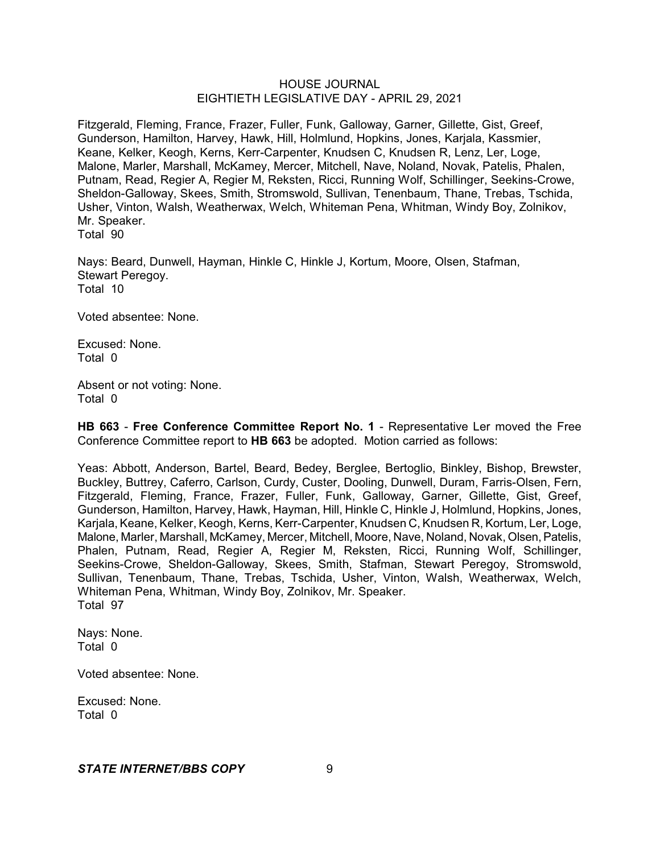Fitzgerald, Fleming, France, Frazer, Fuller, Funk, Galloway, Garner, Gillette, Gist, Greef, Gunderson, Hamilton, Harvey, Hawk, Hill, Holmlund, Hopkins, Jones, Karjala, Kassmier, Keane, Kelker, Keogh, Kerns, Kerr-Carpenter, Knudsen C, Knudsen R, Lenz, Ler, Loge, Malone, Marler, Marshall, McKamey, Mercer, Mitchell, Nave, Noland, Novak, Patelis, Phalen, Putnam, Read, Regier A, Regier M, Reksten, Ricci, Running Wolf, Schillinger, Seekins-Crowe, Sheldon-Galloway, Skees, Smith, Stromswold, Sullivan, Tenenbaum, Thane, Trebas, Tschida, Usher, Vinton, Walsh, Weatherwax, Welch, Whiteman Pena, Whitman, Windy Boy, Zolnikov, Mr. Speaker.

Total 90

Nays: Beard, Dunwell, Hayman, Hinkle C, Hinkle J, Kortum, Moore, Olsen, Stafman, Stewart Peregoy. Total 10

Voted absentee: None.

Excused: None. Total 0

Absent or not voting: None. Total 0

**HB 663** - **Free Conference Committee Report No. 1** - Representative Ler moved the Free Conference Committee report to **HB 663** be adopted. Motion carried as follows:

Yeas: Abbott, Anderson, Bartel, Beard, Bedey, Berglee, Bertoglio, Binkley, Bishop, Brewster, Buckley, Buttrey, Caferro, Carlson, Curdy, Custer, Dooling, Dunwell, Duram, Farris-Olsen, Fern, Fitzgerald, Fleming, France, Frazer, Fuller, Funk, Galloway, Garner, Gillette, Gist, Greef, Gunderson, Hamilton, Harvey, Hawk, Hayman, Hill, Hinkle C, Hinkle J, Holmlund, Hopkins, Jones, Karjala, Keane, Kelker, Keogh, Kerns, Kerr-Carpenter, Knudsen C, Knudsen R, Kortum, Ler, Loge, Malone, Marler, Marshall, McKamey, Mercer, Mitchell, Moore, Nave, Noland, Novak, Olsen,Patelis, Phalen, Putnam, Read, Regier A, Regier M, Reksten, Ricci, Running Wolf, Schillinger, Seekins-Crowe, Sheldon-Galloway, Skees, Smith, Stafman, Stewart Peregoy, Stromswold, Sullivan, Tenenbaum, Thane, Trebas, Tschida, Usher, Vinton, Walsh, Weatherwax, Welch, Whiteman Pena, Whitman, Windy Boy, Zolnikov, Mr. Speaker. Total 97

Nays: None. Total 0

Voted absentee: None.

Excused: None. Total 0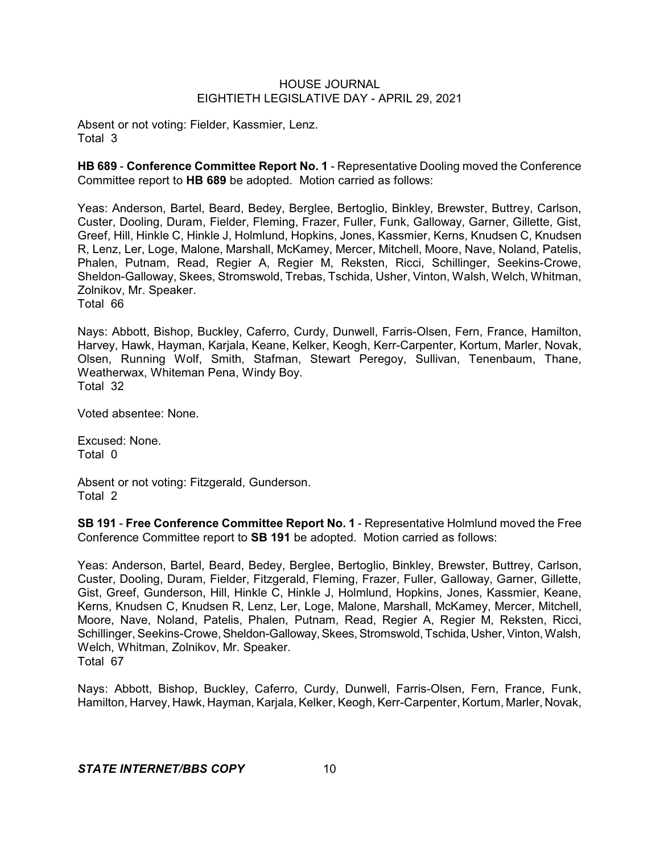Absent or not voting: Fielder, Kassmier, Lenz. Total 3

**HB 689** - **Conference Committee Report No. 1** - Representative Dooling moved the Conference Committee report to **HB 689** be adopted. Motion carried as follows:

Yeas: Anderson, Bartel, Beard, Bedey, Berglee, Bertoglio, Binkley, Brewster, Buttrey, Carlson, Custer, Dooling, Duram, Fielder, Fleming, Frazer, Fuller, Funk, Galloway, Garner, Gillette, Gist, Greef, Hill, Hinkle C, Hinkle J, Holmlund, Hopkins, Jones, Kassmier, Kerns, Knudsen C, Knudsen R, Lenz, Ler, Loge, Malone, Marshall, McKamey, Mercer, Mitchell, Moore, Nave, Noland, Patelis, Phalen, Putnam, Read, Regier A, Regier M, Reksten, Ricci, Schillinger, Seekins-Crowe, Sheldon-Galloway, Skees, Stromswold, Trebas, Tschida, Usher, Vinton, Walsh, Welch, Whitman, Zolnikov, Mr. Speaker. Total 66

Nays: Abbott, Bishop, Buckley, Caferro, Curdy, Dunwell, Farris-Olsen, Fern, France, Hamilton, Harvey, Hawk, Hayman, Karjala, Keane, Kelker, Keogh, Kerr-Carpenter, Kortum, Marler, Novak, Olsen, Running Wolf, Smith, Stafman, Stewart Peregoy, Sullivan, Tenenbaum, Thane, Weatherwax, Whiteman Pena, Windy Boy. Total 32

Voted absentee: None.

Excused: None. Total 0

Absent or not voting: Fitzgerald, Gunderson. Total 2

**SB 191** - **Free Conference Committee Report No. 1** - Representative Holmlund moved the Free Conference Committee report to **SB 191** be adopted. Motion carried as follows:

Yeas: Anderson, Bartel, Beard, Bedey, Berglee, Bertoglio, Binkley, Brewster, Buttrey, Carlson, Custer, Dooling, Duram, Fielder, Fitzgerald, Fleming, Frazer, Fuller, Galloway, Garner, Gillette, Gist, Greef, Gunderson, Hill, Hinkle C, Hinkle J, Holmlund, Hopkins, Jones, Kassmier, Keane, Kerns, Knudsen C, Knudsen R, Lenz, Ler, Loge, Malone, Marshall, McKamey, Mercer, Mitchell, Moore, Nave, Noland, Patelis, Phalen, Putnam, Read, Regier A, Regier M, Reksten, Ricci, Schillinger, Seekins-Crowe, Sheldon-Galloway, Skees, Stromswold, Tschida, Usher, Vinton, Walsh, Welch, Whitman, Zolnikov, Mr. Speaker. Total 67

Nays: Abbott, Bishop, Buckley, Caferro, Curdy, Dunwell, Farris-Olsen, Fern, France, Funk, Hamilton, Harvey, Hawk, Hayman, Karjala, Kelker, Keogh, Kerr-Carpenter, Kortum, Marler, Novak,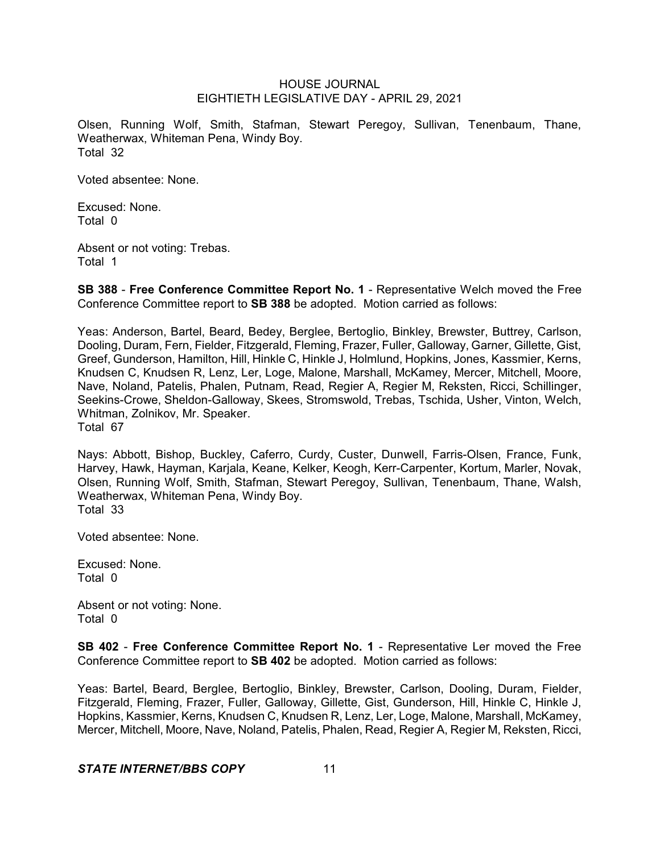Olsen, Running Wolf, Smith, Stafman, Stewart Peregoy, Sullivan, Tenenbaum, Thane, Weatherwax, Whiteman Pena, Windy Boy. Total 32

Voted absentee: None.

Excused: None. Total 0

Absent or not voting: Trebas. Total 1

**SB 388** - **Free Conference Committee Report No. 1** - Representative Welch moved the Free Conference Committee report to **SB 388** be adopted. Motion carried as follows:

Yeas: Anderson, Bartel, Beard, Bedey, Berglee, Bertoglio, Binkley, Brewster, Buttrey, Carlson, Dooling, Duram, Fern, Fielder, Fitzgerald, Fleming, Frazer, Fuller, Galloway, Garner, Gillette, Gist, Greef, Gunderson, Hamilton, Hill, Hinkle C, Hinkle J, Holmlund, Hopkins, Jones, Kassmier, Kerns, Knudsen C, Knudsen R, Lenz, Ler, Loge, Malone, Marshall, McKamey, Mercer, Mitchell, Moore, Nave, Noland, Patelis, Phalen, Putnam, Read, Regier A, Regier M, Reksten, Ricci, Schillinger, Seekins-Crowe, Sheldon-Galloway, Skees, Stromswold, Trebas, Tschida, Usher, Vinton, Welch, Whitman, Zolnikov, Mr. Speaker. Total 67

Nays: Abbott, Bishop, Buckley, Caferro, Curdy, Custer, Dunwell, Farris-Olsen, France, Funk, Harvey, Hawk, Hayman, Karjala, Keane, Kelker, Keogh, Kerr-Carpenter, Kortum, Marler, Novak, Olsen, Running Wolf, Smith, Stafman, Stewart Peregoy, Sullivan, Tenenbaum, Thane, Walsh, Weatherwax, Whiteman Pena, Windy Boy. Total 33

Voted absentee: None.

Excused: None. Total 0

Absent or not voting: None. Total 0

**SB 402** - **Free Conference Committee Report No. 1** - Representative Ler moved the Free Conference Committee report to **SB 402** be adopted. Motion carried as follows:

Yeas: Bartel, Beard, Berglee, Bertoglio, Binkley, Brewster, Carlson, Dooling, Duram, Fielder, Fitzgerald, Fleming, Frazer, Fuller, Galloway, Gillette, Gist, Gunderson, Hill, Hinkle C, Hinkle J, Hopkins, Kassmier, Kerns, Knudsen C, Knudsen R, Lenz, Ler, Loge, Malone, Marshall, McKamey, Mercer, Mitchell, Moore, Nave, Noland, Patelis, Phalen, Read, Regier A, Regier M, Reksten, Ricci,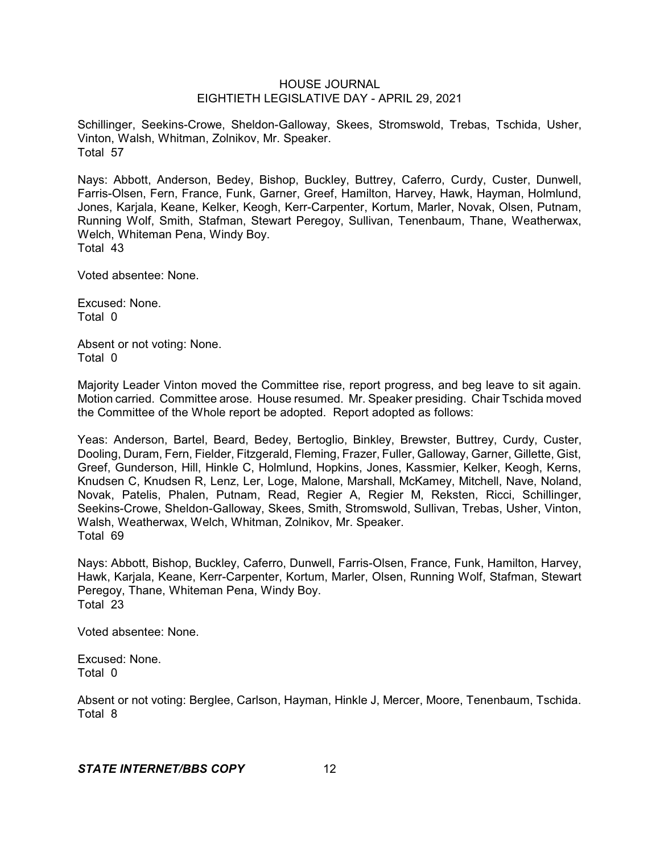Schillinger, Seekins-Crowe, Sheldon-Galloway, Skees, Stromswold, Trebas, Tschida, Usher, Vinton, Walsh, Whitman, Zolnikov, Mr. Speaker. Total 57

Nays: Abbott, Anderson, Bedey, Bishop, Buckley, Buttrey, Caferro, Curdy, Custer, Dunwell, Farris-Olsen, Fern, France, Funk, Garner, Greef, Hamilton, Harvey, Hawk, Hayman, Holmlund, Jones, Karjala, Keane, Kelker, Keogh, Kerr-Carpenter, Kortum, Marler, Novak, Olsen, Putnam, Running Wolf, Smith, Stafman, Stewart Peregoy, Sullivan, Tenenbaum, Thane, Weatherwax, Welch, Whiteman Pena, Windy Boy. Total 43

Voted absentee: None.

Excused: None. Total 0

Absent or not voting: None. Total 0

Majority Leader Vinton moved the Committee rise, report progress, and beg leave to sit again. Motion carried. Committee arose. House resumed. Mr. Speaker presiding. Chair Tschida moved the Committee of the Whole report be adopted. Report adopted as follows:

Yeas: Anderson, Bartel, Beard, Bedey, Bertoglio, Binkley, Brewster, Buttrey, Curdy, Custer, Dooling, Duram, Fern, Fielder, Fitzgerald, Fleming, Frazer, Fuller, Galloway, Garner, Gillette, Gist, Greef, Gunderson, Hill, Hinkle C, Holmlund, Hopkins, Jones, Kassmier, Kelker, Keogh, Kerns, Knudsen C, Knudsen R, Lenz, Ler, Loge, Malone, Marshall, McKamey, Mitchell, Nave, Noland, Novak, Patelis, Phalen, Putnam, Read, Regier A, Regier M, Reksten, Ricci, Schillinger, Seekins-Crowe, Sheldon-Galloway, Skees, Smith, Stromswold, Sullivan, Trebas, Usher, Vinton, Walsh, Weatherwax, Welch, Whitman, Zolnikov, Mr. Speaker. Total 69

Nays: Abbott, Bishop, Buckley, Caferro, Dunwell, Farris-Olsen, France, Funk, Hamilton, Harvey, Hawk, Karjala, Keane, Kerr-Carpenter, Kortum, Marler, Olsen, Running Wolf, Stafman, Stewart Peregoy, Thane, Whiteman Pena, Windy Boy. Total 23

Voted absentee: None.

Excused: None. Total 0

Absent or not voting: Berglee, Carlson, Hayman, Hinkle J, Mercer, Moore, Tenenbaum, Tschida. Total 8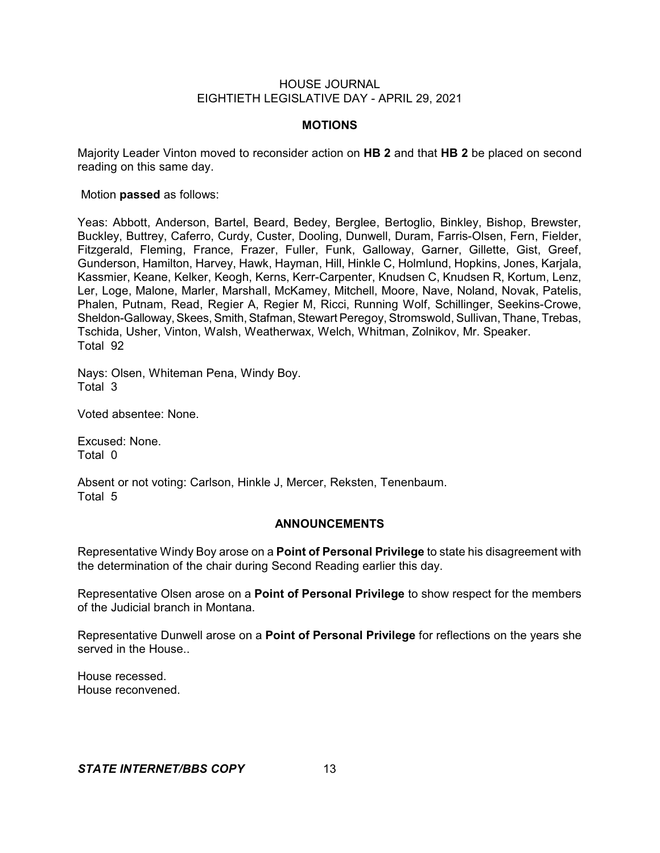## **MOTIONS**

Majority Leader Vinton moved to reconsider action on **HB 2** and that **HB 2** be placed on second reading on this same day.

Motion **passed** as follows:

Yeas: Abbott, Anderson, Bartel, Beard, Bedey, Berglee, Bertoglio, Binkley, Bishop, Brewster, Buckley, Buttrey, Caferro, Curdy, Custer, Dooling, Dunwell, Duram, Farris-Olsen, Fern, Fielder, Fitzgerald, Fleming, France, Frazer, Fuller, Funk, Galloway, Garner, Gillette, Gist, Greef, Gunderson, Hamilton, Harvey, Hawk, Hayman, Hill, Hinkle C, Holmlund, Hopkins, Jones, Karjala, Kassmier, Keane, Kelker, Keogh, Kerns, Kerr-Carpenter, Knudsen C, Knudsen R, Kortum, Lenz, Ler, Loge, Malone, Marler, Marshall, McKamey, Mitchell, Moore, Nave, Noland, Novak, Patelis, Phalen, Putnam, Read, Regier A, Regier M, Ricci, Running Wolf, Schillinger, Seekins-Crowe, Sheldon-Galloway, Skees, Smith, Stafman, Stewart Peregoy, Stromswold, Sullivan, Thane, Trebas, Tschida, Usher, Vinton, Walsh, Weatherwax, Welch, Whitman, Zolnikov, Mr. Speaker. Total 92

Nays: Olsen, Whiteman Pena, Windy Boy. Total 3

Voted absentee: None.

Excused: None. Total 0

Absent or not voting: Carlson, Hinkle J, Mercer, Reksten, Tenenbaum. Total 5

## **ANNOUNCEMENTS**

Representative Windy Boy arose on a **Point of Personal Privilege** to state his disagreement with the determination of the chair during Second Reading earlier this day.

Representative Olsen arose on a **Point of Personal Privilege** to show respect for the members of the Judicial branch in Montana.

Representative Dunwell arose on a **Point of Personal Privilege** for reflections on the years she served in the House.

House recessed. House reconvened.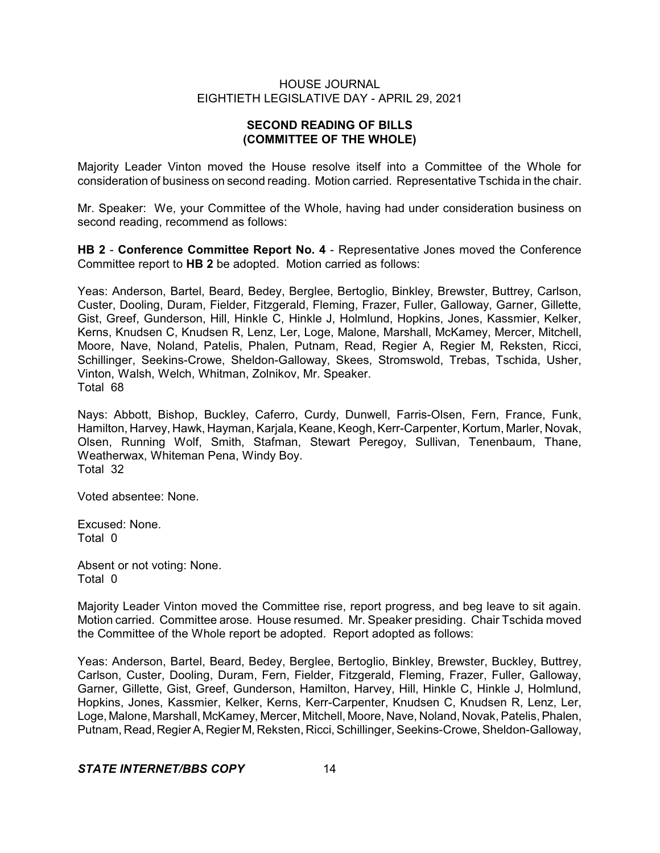# **SECOND READING OF BILLS (COMMITTEE OF THE WHOLE)**

Majority Leader Vinton moved the House resolve itself into a Committee of the Whole for consideration of business on second reading. Motion carried. Representative Tschida in the chair.

Mr. Speaker: We, your Committee of the Whole, having had under consideration business on second reading, recommend as follows:

**HB 2** - **Conference Committee Report No. 4** - Representative Jones moved the Conference Committee report to **HB 2** be adopted. Motion carried as follows:

Yeas: Anderson, Bartel, Beard, Bedey, Berglee, Bertoglio, Binkley, Brewster, Buttrey, Carlson, Custer, Dooling, Duram, Fielder, Fitzgerald, Fleming, Frazer, Fuller, Galloway, Garner, Gillette, Gist, Greef, Gunderson, Hill, Hinkle C, Hinkle J, Holmlund, Hopkins, Jones, Kassmier, Kelker, Kerns, Knudsen C, Knudsen R, Lenz, Ler, Loge, Malone, Marshall, McKamey, Mercer, Mitchell, Moore, Nave, Noland, Patelis, Phalen, Putnam, Read, Regier A, Regier M, Reksten, Ricci, Schillinger, Seekins-Crowe, Sheldon-Galloway, Skees, Stromswold, Trebas, Tschida, Usher, Vinton, Walsh, Welch, Whitman, Zolnikov, Mr. Speaker. Total 68

Nays: Abbott, Bishop, Buckley, Caferro, Curdy, Dunwell, Farris-Olsen, Fern, France, Funk, Hamilton, Harvey, Hawk, Hayman, Karjala, Keane, Keogh, Kerr-Carpenter, Kortum, Marler, Novak, Olsen, Running Wolf, Smith, Stafman, Stewart Peregoy, Sullivan, Tenenbaum, Thane, Weatherwax, Whiteman Pena, Windy Boy. Total 32

Voted absentee: None.

Excused: None. Total 0

Absent or not voting: None. Total 0

Majority Leader Vinton moved the Committee rise, report progress, and beg leave to sit again. Motion carried. Committee arose. House resumed. Mr. Speaker presiding. Chair Tschida moved the Committee of the Whole report be adopted. Report adopted as follows:

Yeas: Anderson, Bartel, Beard, Bedey, Berglee, Bertoglio, Binkley, Brewster, Buckley, Buttrey, Carlson, Custer, Dooling, Duram, Fern, Fielder, Fitzgerald, Fleming, Frazer, Fuller, Galloway, Garner, Gillette, Gist, Greef, Gunderson, Hamilton, Harvey, Hill, Hinkle C, Hinkle J, Holmlund, Hopkins, Jones, Kassmier, Kelker, Kerns, Kerr-Carpenter, Knudsen C, Knudsen R, Lenz, Ler, Loge, Malone, Marshall, McKamey, Mercer, Mitchell, Moore, Nave, Noland, Novak, Patelis, Phalen, Putnam, Read, RegierA, Regier M, Reksten, Ricci, Schillinger, Seekins-Crowe, Sheldon-Galloway,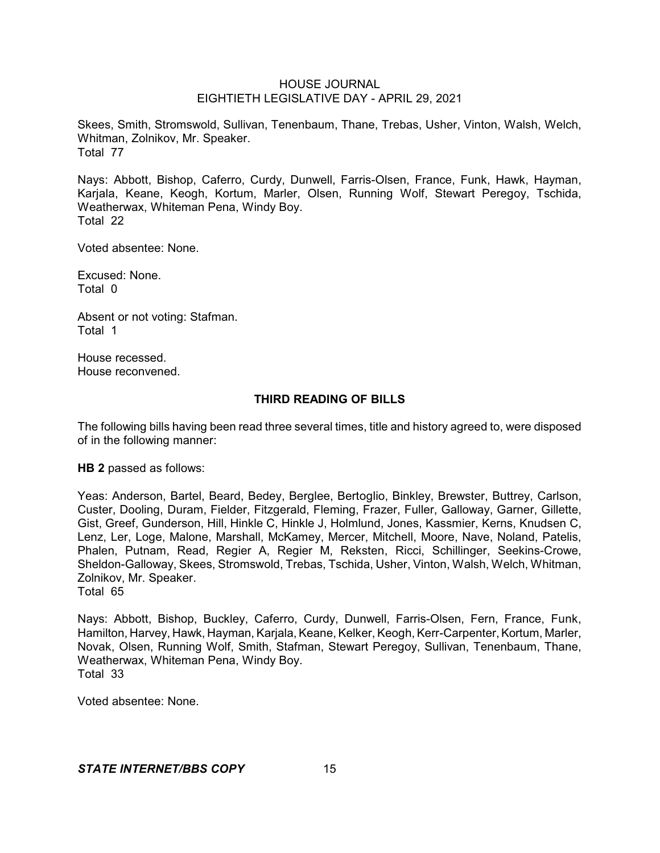Skees, Smith, Stromswold, Sullivan, Tenenbaum, Thane, Trebas, Usher, Vinton, Walsh, Welch, Whitman, Zolnikov, Mr. Speaker. Total 77

Nays: Abbott, Bishop, Caferro, Curdy, Dunwell, Farris-Olsen, France, Funk, Hawk, Hayman, Karjala, Keane, Keogh, Kortum, Marler, Olsen, Running Wolf, Stewart Peregoy, Tschida, Weatherwax, Whiteman Pena, Windy Boy. Total 22

Voted absentee: None.

Excused: None. Total 0

Absent or not voting: Stafman. Total 1

House recessed. House reconvened.

# **THIRD READING OF BILLS**

The following bills having been read three several times, title and history agreed to, were disposed of in the following manner:

**HB 2** passed as follows:

Yeas: Anderson, Bartel, Beard, Bedey, Berglee, Bertoglio, Binkley, Brewster, Buttrey, Carlson, Custer, Dooling, Duram, Fielder, Fitzgerald, Fleming, Frazer, Fuller, Galloway, Garner, Gillette, Gist, Greef, Gunderson, Hill, Hinkle C, Hinkle J, Holmlund, Jones, Kassmier, Kerns, Knudsen C, Lenz, Ler, Loge, Malone, Marshall, McKamey, Mercer, Mitchell, Moore, Nave, Noland, Patelis, Phalen, Putnam, Read, Regier A, Regier M, Reksten, Ricci, Schillinger, Seekins-Crowe, Sheldon-Galloway, Skees, Stromswold, Trebas, Tschida, Usher, Vinton, Walsh, Welch, Whitman, Zolnikov, Mr. Speaker.

Total 65

Nays: Abbott, Bishop, Buckley, Caferro, Curdy, Dunwell, Farris-Olsen, Fern, France, Funk, Hamilton, Harvey, Hawk, Hayman, Karjala, Keane, Kelker, Keogh, Kerr-Carpenter, Kortum, Marler, Novak, Olsen, Running Wolf, Smith, Stafman, Stewart Peregoy, Sullivan, Tenenbaum, Thane, Weatherwax, Whiteman Pena, Windy Boy. Total 33

Voted absentee: None.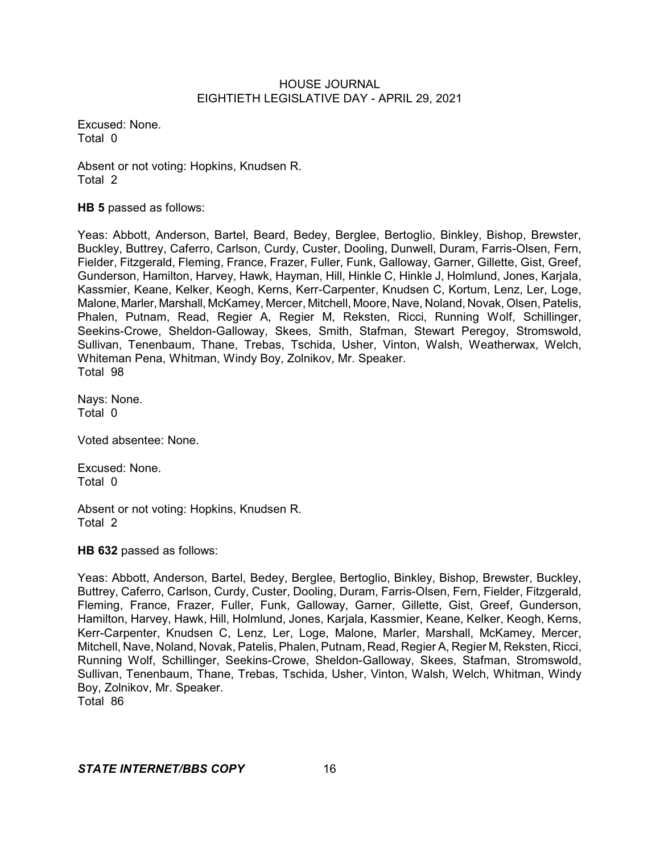Excused: None. Total 0

Absent or not voting: Hopkins, Knudsen R. Total 2

**HB 5** passed as follows:

Yeas: Abbott, Anderson, Bartel, Beard, Bedey, Berglee, Bertoglio, Binkley, Bishop, Brewster, Buckley, Buttrey, Caferro, Carlson, Curdy, Custer, Dooling, Dunwell, Duram, Farris-Olsen, Fern, Fielder, Fitzgerald, Fleming, France, Frazer, Fuller, Funk, Galloway, Garner, Gillette, Gist, Greef, Gunderson, Hamilton, Harvey, Hawk, Hayman, Hill, Hinkle C, Hinkle J, Holmlund, Jones, Karjala, Kassmier, Keane, Kelker, Keogh, Kerns, Kerr-Carpenter, Knudsen C, Kortum, Lenz, Ler, Loge, Malone, Marler, Marshall, McKamey, Mercer, Mitchell, Moore, Nave, Noland, Novak, Olsen, Patelis, Phalen, Putnam, Read, Regier A, Regier M, Reksten, Ricci, Running Wolf, Schillinger, Seekins-Crowe, Sheldon-Galloway, Skees, Smith, Stafman, Stewart Peregoy, Stromswold, Sullivan, Tenenbaum, Thane, Trebas, Tschida, Usher, Vinton, Walsh, Weatherwax, Welch, Whiteman Pena, Whitman, Windy Boy, Zolnikov, Mr. Speaker. Total 98

Nays: None. Total 0

Voted absentee: None.

Excused: None. Total 0

Absent or not voting: Hopkins, Knudsen R. Total 2

**HB 632** passed as follows:

Yeas: Abbott, Anderson, Bartel, Bedey, Berglee, Bertoglio, Binkley, Bishop, Brewster, Buckley, Buttrey, Caferro, Carlson, Curdy, Custer, Dooling, Duram, Farris-Olsen, Fern, Fielder, Fitzgerald, Fleming, France, Frazer, Fuller, Funk, Galloway, Garner, Gillette, Gist, Greef, Gunderson, Hamilton, Harvey, Hawk, Hill, Holmlund, Jones, Karjala, Kassmier, Keane, Kelker, Keogh, Kerns, Kerr-Carpenter, Knudsen C, Lenz, Ler, Loge, Malone, Marler, Marshall, McKamey, Mercer, Mitchell, Nave, Noland, Novak, Patelis, Phalen, Putnam, Read, Regier A, Regier M, Reksten, Ricci, Running Wolf, Schillinger, Seekins-Crowe, Sheldon-Galloway, Skees, Stafman, Stromswold, Sullivan, Tenenbaum, Thane, Trebas, Tschida, Usher, Vinton, Walsh, Welch, Whitman, Windy Boy, Zolnikov, Mr. Speaker. Total 86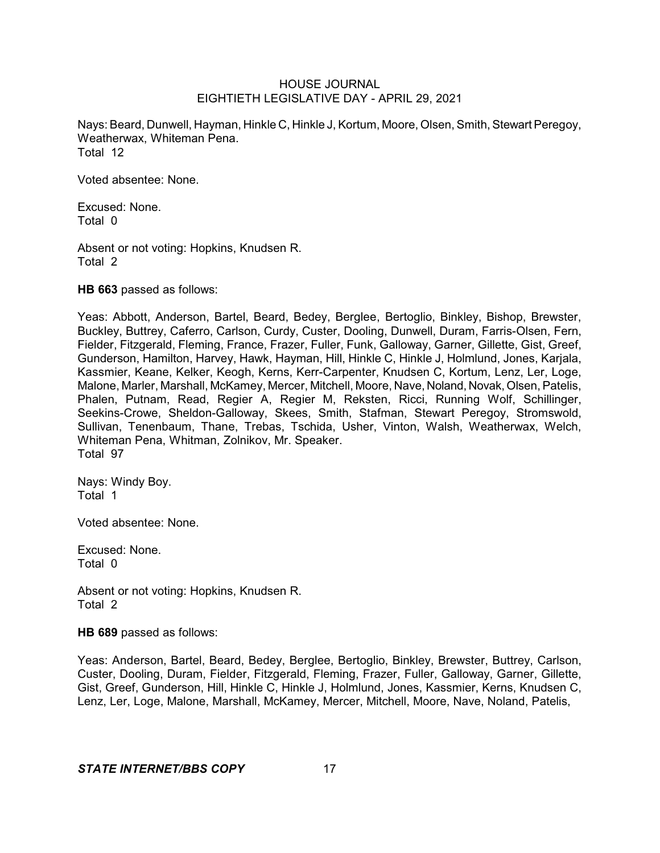Nays: Beard, Dunwell, Hayman, Hinkle C, Hinkle J, Kortum, Moore, Olsen, Smith, Stewart Peregoy, Weatherwax, Whiteman Pena. Total 12

Voted absentee: None.

Excused: None. Total 0

Absent or not voting: Hopkins, Knudsen R. Total 2

**HB 663** passed as follows:

Yeas: Abbott, Anderson, Bartel, Beard, Bedey, Berglee, Bertoglio, Binkley, Bishop, Brewster, Buckley, Buttrey, Caferro, Carlson, Curdy, Custer, Dooling, Dunwell, Duram, Farris-Olsen, Fern, Fielder, Fitzgerald, Fleming, France, Frazer, Fuller, Funk, Galloway, Garner, Gillette, Gist, Greef, Gunderson, Hamilton, Harvey, Hawk, Hayman, Hill, Hinkle C, Hinkle J, Holmlund, Jones, Karjala, Kassmier, Keane, Kelker, Keogh, Kerns, Kerr-Carpenter, Knudsen C, Kortum, Lenz, Ler, Loge, Malone, Marler, Marshall, McKamey, Mercer, Mitchell, Moore, Nave, Noland, Novak, Olsen, Patelis, Phalen, Putnam, Read, Regier A, Regier M, Reksten, Ricci, Running Wolf, Schillinger, Seekins-Crowe, Sheldon-Galloway, Skees, Smith, Stafman, Stewart Peregoy, Stromswold, Sullivan, Tenenbaum, Thane, Trebas, Tschida, Usher, Vinton, Walsh, Weatherwax, Welch, Whiteman Pena, Whitman, Zolnikov, Mr. Speaker. Total 97

Nays: Windy Boy. Total 1

Voted absentee: None.

Excused: None. Total 0

Absent or not voting: Hopkins, Knudsen R. Total 2

**HB 689** passed as follows:

Yeas: Anderson, Bartel, Beard, Bedey, Berglee, Bertoglio, Binkley, Brewster, Buttrey, Carlson, Custer, Dooling, Duram, Fielder, Fitzgerald, Fleming, Frazer, Fuller, Galloway, Garner, Gillette, Gist, Greef, Gunderson, Hill, Hinkle C, Hinkle J, Holmlund, Jones, Kassmier, Kerns, Knudsen C, Lenz, Ler, Loge, Malone, Marshall, McKamey, Mercer, Mitchell, Moore, Nave, Noland, Patelis,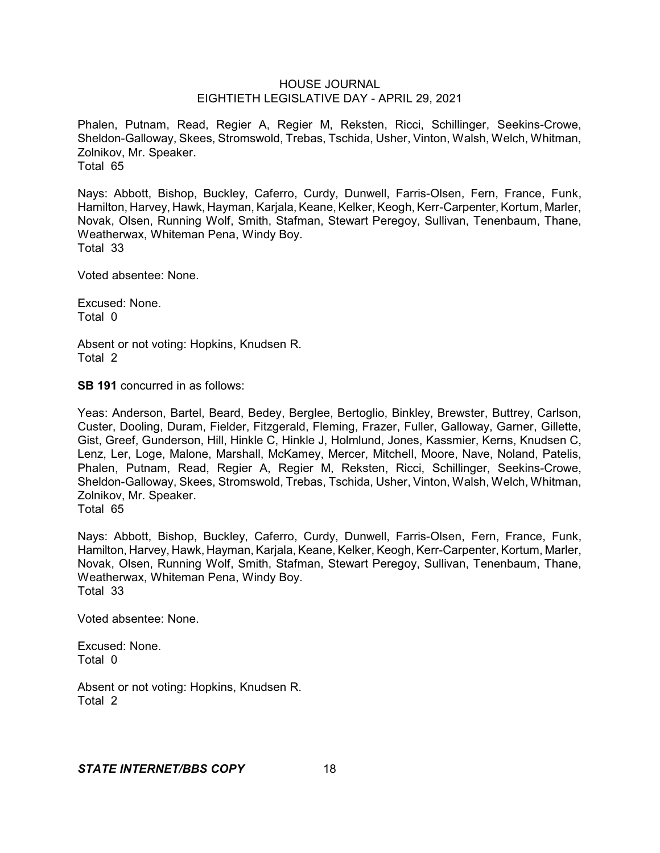Phalen, Putnam, Read, Regier A, Regier M, Reksten, Ricci, Schillinger, Seekins-Crowe, Sheldon-Galloway, Skees, Stromswold, Trebas, Tschida, Usher, Vinton, Walsh, Welch, Whitman, Zolnikov, Mr. Speaker. Total 65

Nays: Abbott, Bishop, Buckley, Caferro, Curdy, Dunwell, Farris-Olsen, Fern, France, Funk, Hamilton, Harvey, Hawk, Hayman, Karjala, Keane, Kelker, Keogh, Kerr-Carpenter, Kortum, Marler, Novak, Olsen, Running Wolf, Smith, Stafman, Stewart Peregoy, Sullivan, Tenenbaum, Thane, Weatherwax, Whiteman Pena, Windy Boy. Total 33

Voted absentee: None.

Excused: None. Total 0

Absent or not voting: Hopkins, Knudsen R. Total 2

**SB 191** concurred in as follows:

Yeas: Anderson, Bartel, Beard, Bedey, Berglee, Bertoglio, Binkley, Brewster, Buttrey, Carlson, Custer, Dooling, Duram, Fielder, Fitzgerald, Fleming, Frazer, Fuller, Galloway, Garner, Gillette, Gist, Greef, Gunderson, Hill, Hinkle C, Hinkle J, Holmlund, Jones, Kassmier, Kerns, Knudsen C, Lenz, Ler, Loge, Malone, Marshall, McKamey, Mercer, Mitchell, Moore, Nave, Noland, Patelis, Phalen, Putnam, Read, Regier A, Regier M, Reksten, Ricci, Schillinger, Seekins-Crowe, Sheldon-Galloway, Skees, Stromswold, Trebas, Tschida, Usher, Vinton, Walsh, Welch, Whitman, Zolnikov, Mr. Speaker.

Total 65

Nays: Abbott, Bishop, Buckley, Caferro, Curdy, Dunwell, Farris-Olsen, Fern, France, Funk, Hamilton, Harvey, Hawk, Hayman, Karjala, Keane, Kelker, Keogh, Kerr-Carpenter, Kortum, Marler, Novak, Olsen, Running Wolf, Smith, Stafman, Stewart Peregoy, Sullivan, Tenenbaum, Thane, Weatherwax, Whiteman Pena, Windy Boy. Total 33

Voted absentee: None.

Excused: None. Total 0

Absent or not voting: Hopkins, Knudsen R. Total 2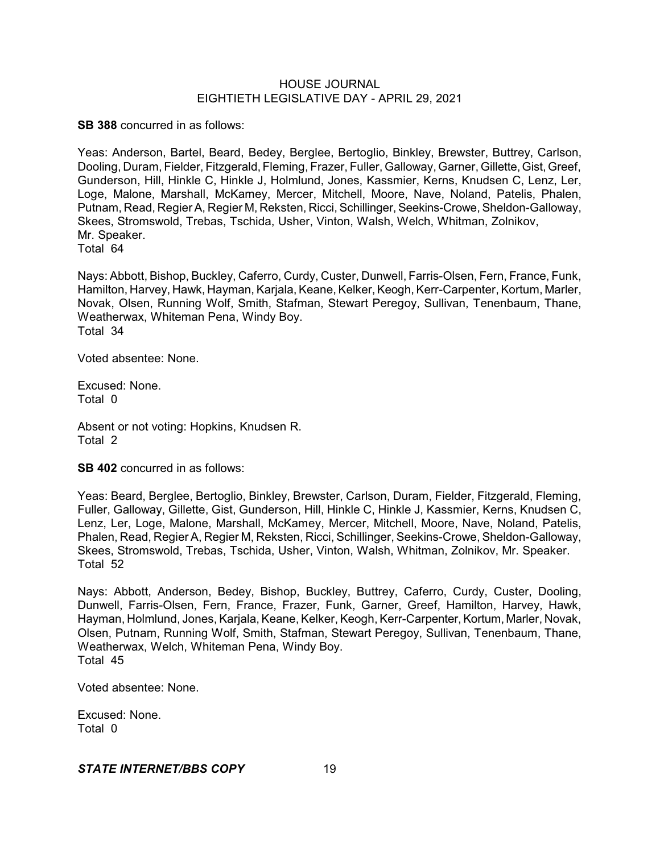**SB 388** concurred in as follows:

Yeas: Anderson, Bartel, Beard, Bedey, Berglee, Bertoglio, Binkley, Brewster, Buttrey, Carlson, Dooling, Duram, Fielder, Fitzgerald, Fleming, Frazer, Fuller, Galloway, Garner, Gillette,Gist, Greef, Gunderson, Hill, Hinkle C, Hinkle J, Holmlund, Jones, Kassmier, Kerns, Knudsen C, Lenz, Ler, Loge, Malone, Marshall, McKamey, Mercer, Mitchell, Moore, Nave, Noland, Patelis, Phalen, Putnam, Read, Regier A, Regier M, Reksten, Ricci, Schillinger, Seekins-Crowe, Sheldon-Galloway, Skees, Stromswold, Trebas, Tschida, Usher, Vinton, Walsh, Welch, Whitman, Zolnikov, Mr. Speaker.

Total 64

Nays: Abbott, Bishop, Buckley, Caferro, Curdy, Custer, Dunwell, Farris-Olsen, Fern, France, Funk, Hamilton, Harvey, Hawk, Hayman, Karjala, Keane, Kelker, Keogh, Kerr-Carpenter, Kortum, Marler, Novak, Olsen, Running Wolf, Smith, Stafman, Stewart Peregoy, Sullivan, Tenenbaum, Thane, Weatherwax, Whiteman Pena, Windy Boy. Total 34

Voted absentee: None.

Excused: None. Total 0

Absent or not voting: Hopkins, Knudsen R. Total 2

**SB 402** concurred in as follows:

Yeas: Beard, Berglee, Bertoglio, Binkley, Brewster, Carlson, Duram, Fielder, Fitzgerald, Fleming, Fuller, Galloway, Gillette, Gist, Gunderson, Hill, Hinkle C, Hinkle J, Kassmier, Kerns, Knudsen C, Lenz, Ler, Loge, Malone, Marshall, McKamey, Mercer, Mitchell, Moore, Nave, Noland, Patelis, Phalen, Read, Regier A, Regier M, Reksten, Ricci, Schillinger, Seekins-Crowe, Sheldon-Galloway, Skees, Stromswold, Trebas, Tschida, Usher, Vinton, Walsh, Whitman, Zolnikov, Mr. Speaker. Total 52

Nays: Abbott, Anderson, Bedey, Bishop, Buckley, Buttrey, Caferro, Curdy, Custer, Dooling, Dunwell, Farris-Olsen, Fern, France, Frazer, Funk, Garner, Greef, Hamilton, Harvey, Hawk, Hayman, Holmlund, Jones, Karjala, Keane, Kelker, Keogh, Kerr-Carpenter,Kortum, Marler, Novak, Olsen, Putnam, Running Wolf, Smith, Stafman, Stewart Peregoy, Sullivan, Tenenbaum, Thane, Weatherwax, Welch, Whiteman Pena, Windy Boy. Total 45

Voted absentee: None.

Excused: None. Total 0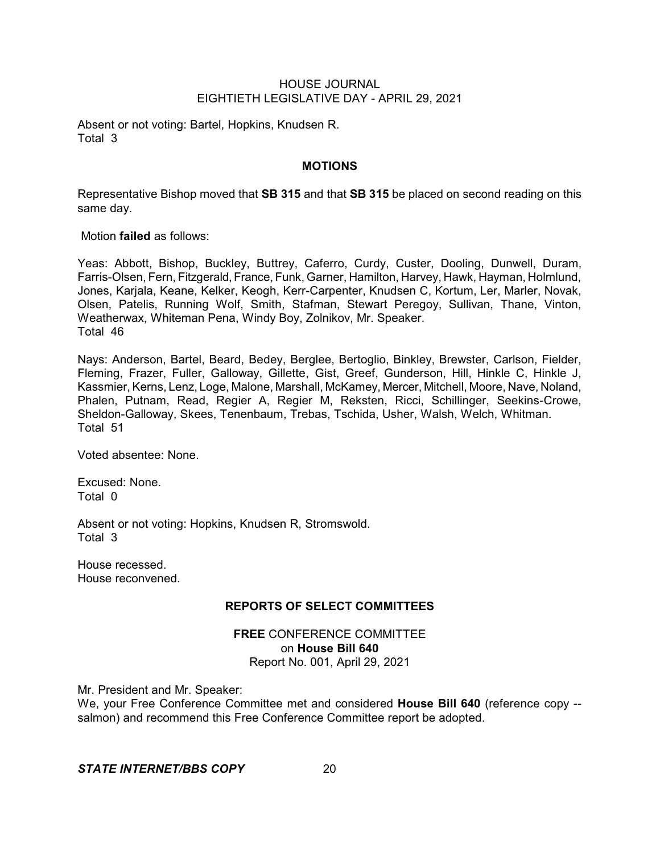Absent or not voting: Bartel, Hopkins, Knudsen R. Total 3

# **MOTIONS**

Representative Bishop moved that **SB 315** and that **SB 315** be placed on second reading on this same day.

Motion **failed** as follows:

Yeas: Abbott, Bishop, Buckley, Buttrey, Caferro, Curdy, Custer, Dooling, Dunwell, Duram, Farris-Olsen, Fern, Fitzgerald, France, Funk, Garner, Hamilton, Harvey, Hawk, Hayman, Holmlund, Jones, Karjala, Keane, Kelker, Keogh, Kerr-Carpenter, Knudsen C, Kortum, Ler, Marler, Novak, Olsen, Patelis, Running Wolf, Smith, Stafman, Stewart Peregoy, Sullivan, Thane, Vinton, Weatherwax, Whiteman Pena, Windy Boy, Zolnikov, Mr. Speaker. Total 46

Nays: Anderson, Bartel, Beard, Bedey, Berglee, Bertoglio, Binkley, Brewster, Carlson, Fielder, Fleming, Frazer, Fuller, Galloway, Gillette, Gist, Greef, Gunderson, Hill, Hinkle C, Hinkle J, Kassmier, Kerns, Lenz, Loge, Malone, Marshall, McKamey, Mercer, Mitchell, Moore, Nave, Noland, Phalen, Putnam, Read, Regier A, Regier M, Reksten, Ricci, Schillinger, Seekins-Crowe, Sheldon-Galloway, Skees, Tenenbaum, Trebas, Tschida, Usher, Walsh, Welch, Whitman. Total 51

Voted absentee: None.

Excused: None. Total 0

Absent or not voting: Hopkins, Knudsen R, Stromswold. Total 3

House recessed. House reconvened.

## **REPORTS OF SELECT COMMITTEES**

**FREE** CONFERENCE COMMITTEE on **House Bill 640** Report No. 001, April 29, 2021

Mr. President and Mr. Speaker:

We, your Free Conference Committee met and considered **House Bill 640** (reference copy - salmon) and recommend this Free Conference Committee report be adopted.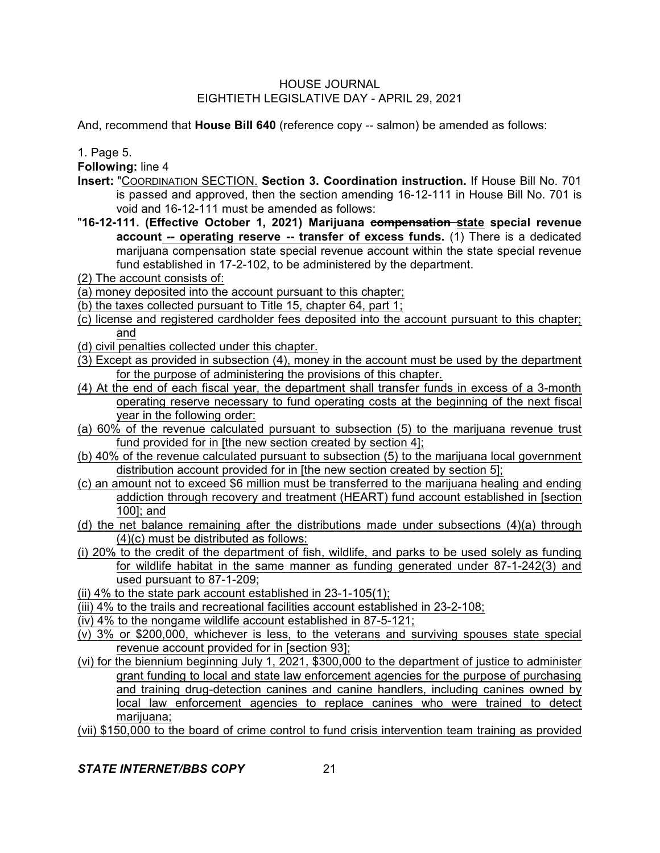And, recommend that **House Bill 640** (reference copy -- salmon) be amended as follows:

1. Page 5.

**Following:** line 4

- **Insert:** "COORDINATION SECTION. **Section 3. Coordination instruction.** If House Bill No. 701 is passed and approved, then the section amending 16-12-111 in House Bill No. 701 is void and 16-12-111 must be amended as follows:
- "**16-12-111. (Effective October 1, 2021) Marijuana compensation state special revenue account -- operating reserve -- transfer of excess funds.** (1) There is a dedicated marijuana compensation state special revenue account within the state special revenue fund established in 17-2-102, to be administered by the department.
- (2) The account consists of:
- (a) money deposited into the account pursuant to this chapter;
- (b) the taxes collected pursuant to Title 15, chapter 64, part 1;
- (c) license and registered cardholder fees deposited into the account pursuant to this chapter; and
- (d) civil penalties collected under this chapter.
- (3) Except as provided in subsection (4), money in the account must be used by the department for the purpose of administering the provisions of this chapter.
- (4) At the end of each fiscal year, the department shall transfer funds in excess of a 3-month operating reserve necessary to fund operating costs at the beginning of the next fiscal year in the following order:
- (a) 60% of the revenue calculated pursuant to subsection (5) to the marijuana revenue trust fund provided for in [the new section created by section 4];
- (b) 40% of the revenue calculated pursuant to subsection (5) to the marijuana local government distribution account provided for in [the new section created by section 5];
- (c) an amount not to exceed \$6 million must be transferred to the marijuana healing and ending addiction through recovery and treatment (HEART) fund account established in [section 100]; and
- (d) the net balance remaining after the distributions made under subsections (4)(a) through (4)(c) must be distributed as follows:
- (i) 20% to the credit of the department of fish, wildlife, and parks to be used solely as funding for wildlife habitat in the same manner as funding generated under 87-1-242(3) and used pursuant to 87-1-209;
- (ii) 4% to the state park account established in 23-1-105(1);
- (iii) 4% to the trails and recreational facilities account established in 23-2-108;
- (iv) 4% to the nongame wildlife account established in 87-5-121;
- (v) 3% or \$200,000, whichever is less, to the veterans and surviving spouses state special revenue account provided for in [section 93];
- (vi) for the biennium beginning July 1, 2021, \$300,000 to the department of justice to administer grant funding to local and state law enforcement agencies for the purpose of purchasing and training drug-detection canines and canine handlers, including canines owned by local law enforcement agencies to replace canines who were trained to detect marijuana;
- (vii) \$150,000 to the board of crime control to fund crisis intervention team training as provided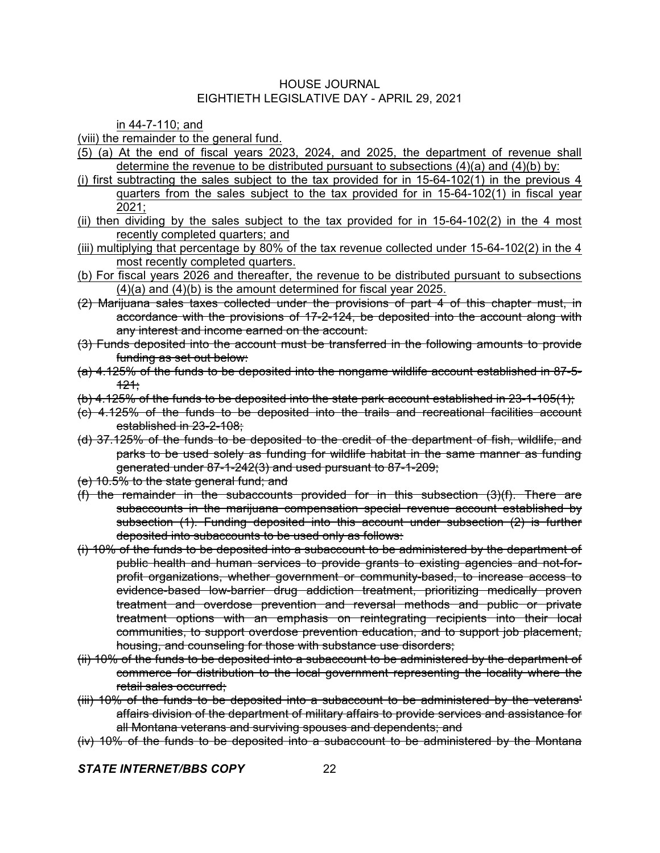in 44-7-110; and

(viii) the remainder to the general fund.

- (5) (a) At the end of fiscal years 2023, 2024, and 2025, the department of revenue shall determine the revenue to be distributed pursuant to subsections  $(4)(a)$  and  $(4)(b)$  by:
- (i) first subtracting the sales subject to the tax provided for in 15-64-102(1) in the previous 4 quarters from the sales subject to the tax provided for in 15-64-102(1) in fiscal year 2021;
- (ii) then dividing by the sales subject to the tax provided for in  $15-64-102(2)$  in the 4 most recently completed quarters; and
- (iii) multiplying that percentage by 80% of the tax revenue collected under 15-64-102(2) in the 4 most recently completed quarters.
- (b) For fiscal years 2026 and thereafter, the revenue to be distributed pursuant to subsections (4)(a) and (4)(b) is the amount determined for fiscal year 2025.
- (2) Marijuana sales taxes collected under the provisions of part 4 of this chapter must, in accordance with the provisions of 17-2-124, be deposited into the account along with any interest and income earned on the account.
- (3) Funds deposited into the account must be transferred in the following amounts to provide funding as set out below:
- (a) 4.125% of the funds to be deposited into the nongame wildlife account established in 87-5-  $121:$
- (b) 4.125% of the funds to be deposited into the state park account established in 23-1-105(1);
- (c) 4.125% of the funds to be deposited into the trails and recreational facilities account established in 23-2-108;
- (d) 37.125% of the funds to be deposited to the credit of the department of fish, wildlife, and parks to be used solely as funding for wildlife habitat in the same manner as funding generated under 87-1-242(3) and used pursuant to 87-1-209;
- (e) 10.5% to the state general fund; and
- (f) the remainder in the subaccounts provided for in this subsection (3)(f). There are subaccounts in the marijuana compensation special revenue account established by subsection (1). Funding deposited into this account under subsection (2) is further deposited into subaccounts to be used only as follows:
- (i) 10% of the funds to be deposited into a subaccount to be administered by the department of public health and human services to provide grants to existing agencies and not-forprofit organizations, whether government or community-based, to increase access to evidence-based low-barrier drug addiction treatment, prioritizing medically proven treatment and overdose prevention and reversal methods and public or private treatment options with an emphasis on reintegrating recipients into their local communities, to support overdose prevention education, and to support job placement, housing, and counseling for those with substance use disorders;
- (ii) 10% of the funds to be deposited into a subaccount to be administered by the department of commerce for distribution to the local government representing the locality where the retail sales occurred;
- (iii) 10% of the funds to be deposited into a subaccount to be administered by the veterans' affairs division of the department of military affairs to provide services and assistance for all Montana veterans and surviving spouses and dependents; and
- (iv) 10% of the funds to be deposited into a subaccount to be administered by the Montana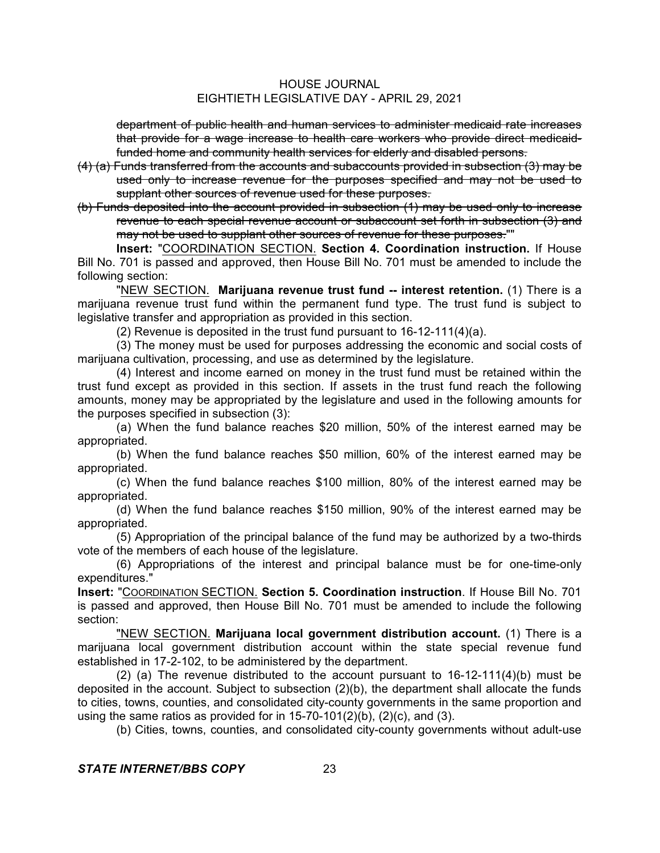department of public health and human services to administer medicaid rate increases that provide for a wage increase to health care workers who provide direct medicaidfunded home and community health services for elderly and disabled persons.

- (4) (a) Funds transferred from the accounts and subaccounts provided in subsection (3) may be used only to increase revenue for the purposes specified and may not be used to supplant other sources of revenue used for these purposes.
- (b) Funds deposited into the account provided in subsection (1) may be used only to increase revenue to each special revenue account or subaccount set forth in subsection (3) and may not be used to supplant other sources of revenue for these purposes.""

**Insert:** "COORDINATION SECTION. **Section 4. Coordination instruction.** If House Bill No. 701 is passed and approved, then House Bill No. 701 must be amended to include the following section:

"NEW SECTION. **Marijuana revenue trust fund -- interest retention.** (1) There is a marijuana revenue trust fund within the permanent fund type. The trust fund is subject to legislative transfer and appropriation as provided in this section.

(2) Revenue is deposited in the trust fund pursuant to 16-12-111(4)(a).

(3) The money must be used for purposes addressing the economic and social costs of marijuana cultivation, processing, and use as determined by the legislature.

(4) Interest and income earned on money in the trust fund must be retained within the trust fund except as provided in this section. If assets in the trust fund reach the following amounts, money may be appropriated by the legislature and used in the following amounts for the purposes specified in subsection (3):

(a) When the fund balance reaches \$20 million, 50% of the interest earned may be appropriated.

(b) When the fund balance reaches \$50 million, 60% of the interest earned may be appropriated.

(c) When the fund balance reaches \$100 million, 80% of the interest earned may be appropriated.

(d) When the fund balance reaches \$150 million, 90% of the interest earned may be appropriated.

(5) Appropriation of the principal balance of the fund may be authorized by a two-thirds vote of the members of each house of the legislature.

(6) Appropriations of the interest and principal balance must be for one-time-only expenditures."

**Insert:** "COORDINATION SECTION. **Section 5. Coordination instruction**. If House Bill No. 701 is passed and approved, then House Bill No. 701 must be amended to include the following section:

"NEW SECTION. **Marijuana local government distribution account.** (1) There is a marijuana local government distribution account within the state special revenue fund established in 17-2-102, to be administered by the department.

(2) (a) The revenue distributed to the account pursuant to 16-12-111(4)(b) must be deposited in the account. Subject to subsection (2)(b), the department shall allocate the funds to cities, towns, counties, and consolidated city-county governments in the same proportion and using the same ratios as provided for in  $15-70-101(2)(b)$ ,  $(2)(c)$ , and  $(3)$ .

(b) Cities, towns, counties, and consolidated city-county governments without adult-use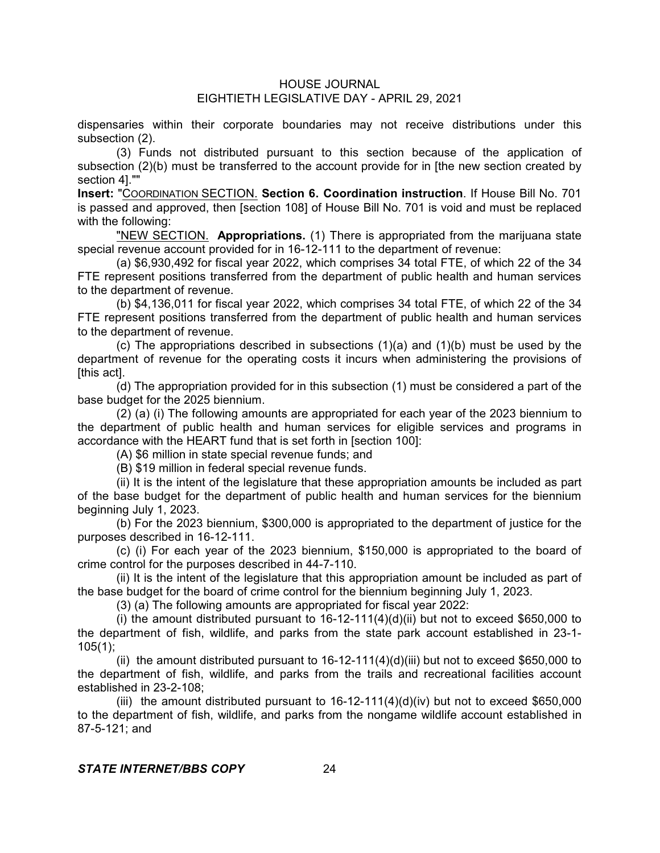# HOUSE JOURNAL

# EIGHTIETH LEGISLATIVE DAY - APRIL 29, 2021

dispensaries within their corporate boundaries may not receive distributions under this subsection (2).

(3) Funds not distributed pursuant to this section because of the application of subsection (2)(b) must be transferred to the account provide for in [the new section created by section 4].""

**Insert:** "COORDINATION SECTION. **Section 6. Coordination instruction**. If House Bill No. 701 is passed and approved, then [section 108] of House Bill No. 701 is void and must be replaced with the following:

"NEW SECTION. **Appropriations.** (1) There is appropriated from the marijuana state special revenue account provided for in 16-12-111 to the department of revenue:

(a) \$6,930,492 for fiscal year 2022, which comprises 34 total FTE, of which 22 of the 34 FTE represent positions transferred from the department of public health and human services to the department of revenue.

(b) \$4,136,011 for fiscal year 2022, which comprises 34 total FTE, of which 22 of the 34 FTE represent positions transferred from the department of public health and human services to the department of revenue.

(c) The appropriations described in subsections  $(1)(a)$  and  $(1)(b)$  must be used by the department of revenue for the operating costs it incurs when administering the provisions of [this act].

(d) The appropriation provided for in this subsection (1) must be considered a part of the base budget for the 2025 biennium.

(2) (a) (i) The following amounts are appropriated for each year of the 2023 biennium to the department of public health and human services for eligible services and programs in accordance with the HEART fund that is set forth in [section 100]:

(A) \$6 million in state special revenue funds; and

(B) \$19 million in federal special revenue funds.

(ii) It is the intent of the legislature that these appropriation amounts be included as part of the base budget for the department of public health and human services for the biennium beginning July 1, 2023.

(b) For the 2023 biennium, \$300,000 is appropriated to the department of justice for the purposes described in 16-12-111.

(c) (i) For each year of the 2023 biennium, \$150,000 is appropriated to the board of crime control for the purposes described in 44-7-110.

(ii) It is the intent of the legislature that this appropriation amount be included as part of the base budget for the board of crime control for the biennium beginning July 1, 2023.

(3) (a) The following amounts are appropriated for fiscal year 2022:

(i) the amount distributed pursuant to  $16-12-111(4)(d)(ii)$  but not to exceed \$650,000 to the department of fish, wildlife, and parks from the state park account established in 23-1- 105(1);

(ii) the amount distributed pursuant to  $16-12-111(4)(d)(iii)$  but not to exceed \$650,000 to the department of fish, wildlife, and parks from the trails and recreational facilities account established in 23-2-108;

(iii) the amount distributed pursuant to  $16-12-111(4)(d)(iv)$  but not to exceed \$650,000 to the department of fish, wildlife, and parks from the nongame wildlife account established in 87-5-121; and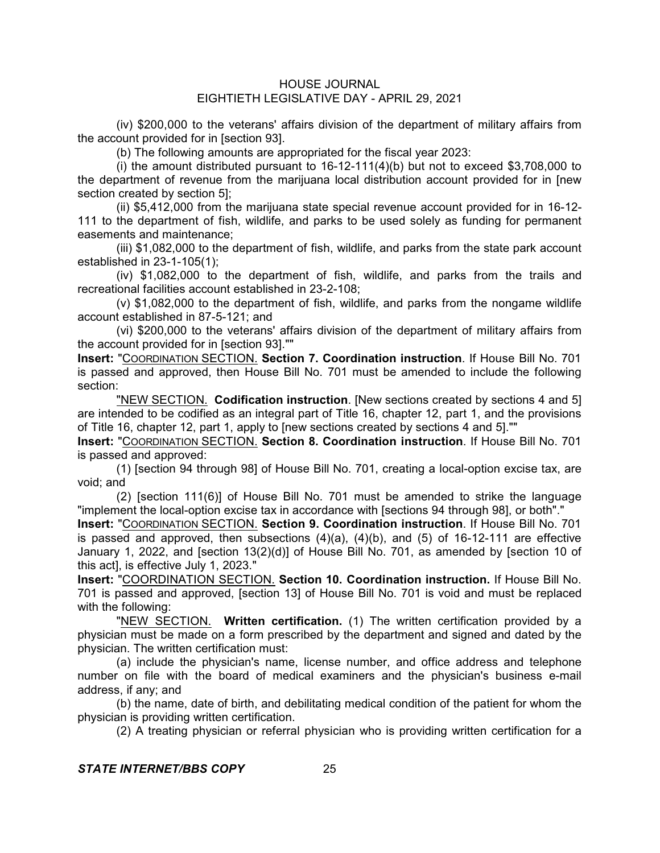(iv) \$200,000 to the veterans' affairs division of the department of military affairs from the account provided for in [section 93].

(b) The following amounts are appropriated for the fiscal year 2023:

(i) the amount distributed pursuant to  $16-12-111(4)$ (b) but not to exceed \$3,708,000 to the department of revenue from the marijuana local distribution account provided for in [new section created by section 5];

(ii) \$5,412,000 from the marijuana state special revenue account provided for in 16-12- 111 to the department of fish, wildlife, and parks to be used solely as funding for permanent easements and maintenance;

(iii) \$1,082,000 to the department of fish, wildlife, and parks from the state park account established in 23-1-105(1);

(iv) \$1,082,000 to the department of fish, wildlife, and parks from the trails and recreational facilities account established in 23-2-108;

(v) \$1,082,000 to the department of fish, wildlife, and parks from the nongame wildlife account established in 87-5-121; and

(vi) \$200,000 to the veterans' affairs division of the department of military affairs from the account provided for in [section 93].""

**Insert:** "COORDINATION SECTION. **Section 7. Coordination instruction**. If House Bill No. 701 is passed and approved, then House Bill No. 701 must be amended to include the following section:

"NEW SECTION. **Codification instruction**. [New sections created by sections 4 and 5] are intended to be codified as an integral part of Title 16, chapter 12, part 1, and the provisions of Title 16, chapter 12, part 1, apply to [new sections created by sections 4 and 5].""

**Insert:** "COORDINATION SECTION. **Section 8. Coordination instruction**. If House Bill No. 701 is passed and approved:

(1) [section 94 through 98] of House Bill No. 701, creating a local-option excise tax, are void; and

(2) [section 111(6)] of House Bill No. 701 must be amended to strike the language "implement the local-option excise tax in accordance with [sections 94 through 98], or both"."

**Insert:** "COORDINATION SECTION. **Section 9. Coordination instruction**. If House Bill No. 701 is passed and approved, then subsections  $(4)(a)$ ,  $(4)(b)$ , and  $(5)$  of 16-12-111 are effective January 1, 2022, and [section 13(2)(d)] of House Bill No. 701, as amended by [section 10 of this act], is effective July 1, 2023."

**Insert:** "COORDINATION SECTION. **Section 10. Coordination instruction.** If House Bill No. 701 is passed and approved, [section 13] of House Bill No. 701 is void and must be replaced with the following:

"NEW SECTION. **Written certification.** (1) The written certification provided by a physician must be made on a form prescribed by the department and signed and dated by the physician. The written certification must:

(a) include the physician's name, license number, and office address and telephone number on file with the board of medical examiners and the physician's business e-mail address, if any; and

(b) the name, date of birth, and debilitating medical condition of the patient for whom the physician is providing written certification.

(2) A treating physician or referral physician who is providing written certification for a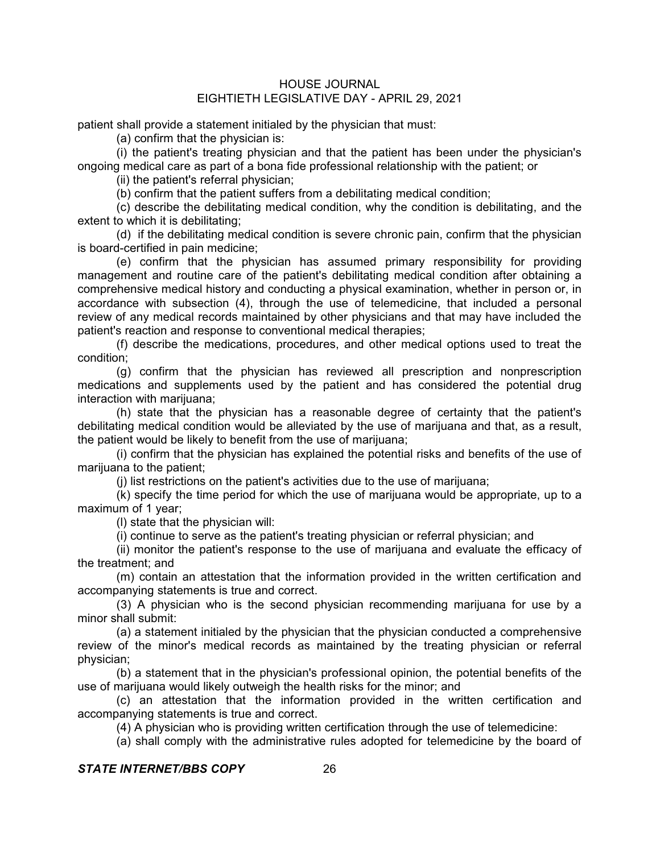patient shall provide a statement initialed by the physician that must:

(a) confirm that the physician is:

(i) the patient's treating physician and that the patient has been under the physician's ongoing medical care as part of a bona fide professional relationship with the patient; or

(ii) the patient's referral physician;

(b) confirm that the patient suffers from a debilitating medical condition;

(c) describe the debilitating medical condition, why the condition is debilitating, and the extent to which it is debilitating;

(d) if the debilitating medical condition is severe chronic pain, confirm that the physician is board-certified in pain medicine;

(e) confirm that the physician has assumed primary responsibility for providing management and routine care of the patient's debilitating medical condition after obtaining a comprehensive medical history and conducting a physical examination, whether in person or, in accordance with subsection (4), through the use of telemedicine, that included a personal review of any medical records maintained by other physicians and that may have included the patient's reaction and response to conventional medical therapies;

(f) describe the medications, procedures, and other medical options used to treat the condition;

(g) confirm that the physician has reviewed all prescription and nonprescription medications and supplements used by the patient and has considered the potential drug interaction with marijuana;

(h) state that the physician has a reasonable degree of certainty that the patient's debilitating medical condition would be alleviated by the use of marijuana and that, as a result, the patient would be likely to benefit from the use of marijuana;

(i) confirm that the physician has explained the potential risks and benefits of the use of marijuana to the patient;

(j) list restrictions on the patient's activities due to the use of marijuana;

(k) specify the time period for which the use of marijuana would be appropriate, up to a maximum of 1 year;

(l) state that the physician will:

(i) continue to serve as the patient's treating physician or referral physician; and

(ii) monitor the patient's response to the use of marijuana and evaluate the efficacy of the treatment; and

(m) contain an attestation that the information provided in the written certification and accompanying statements is true and correct.

(3) A physician who is the second physician recommending marijuana for use by a minor shall submit:

(a) a statement initialed by the physician that the physician conducted a comprehensive review of the minor's medical records as maintained by the treating physician or referral physician;

(b) a statement that in the physician's professional opinion, the potential benefits of the use of marijuana would likely outweigh the health risks for the minor; and

(c) an attestation that the information provided in the written certification and accompanying statements is true and correct.

(4) A physician who is providing written certification through the use of telemedicine:

(a) shall comply with the administrative rules adopted for telemedicine by the board of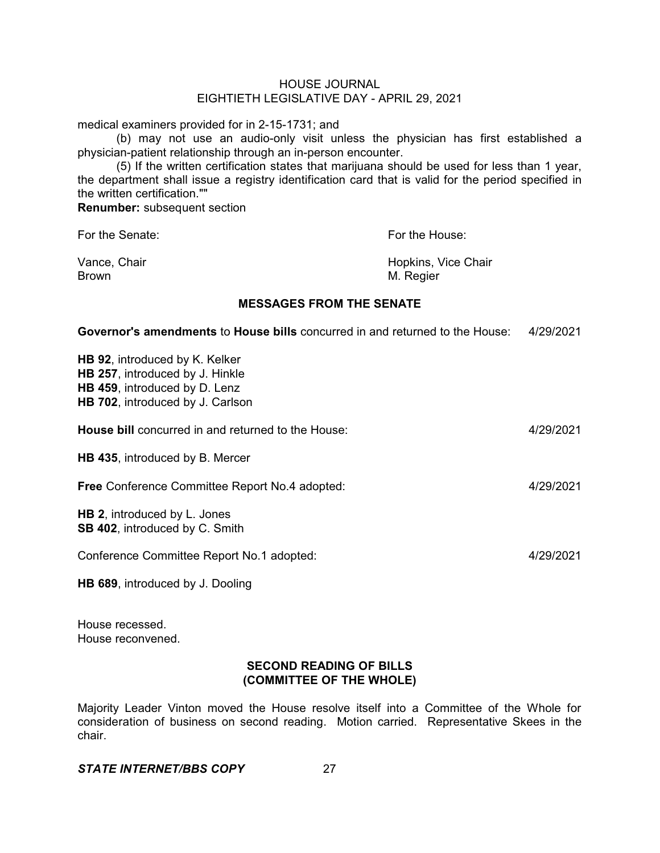medical examiners provided for in 2-15-1731; and

(b) may not use an audio-only visit unless the physician has first established a physician-patient relationship through an in-person encounter.

(5) If the written certification states that marijuana should be used for less than 1 year, the department shall issue a registry identification card that is valid for the period specified in the written certification.""

**Renumber:** subsequent section

For the Senate: **For the House:** For the House:

Brown M. Regier

Vance, Chair **Hopkins, Vice Chair Hopkins**, Vice Chair

# **MESSAGES FROM THE SENATE**

**Governor's amendments** to **House bills** concurred in and returned to the House: 4/29/2021

| <b>HB 92, introduced by K. Kelker</b>  |  |
|----------------------------------------|--|
| <b>HB 257, introduced by J. Hinkle</b> |  |
| HB 459, introduced by D. Lenz          |  |

| <b>House bill</b> concurred in and returned to the House:                    | 4/29/2021 |
|------------------------------------------------------------------------------|-----------|
| <b>HB 435, introduced by B. Mercer</b>                                       |           |
| <b>Free Conference Committee Report No.4 adopted:</b>                        | 4/29/2021 |
| <b>HB 2, introduced by L. Jones</b><br><b>SB 402, introduced by C. Smith</b> |           |
| Conference Committee Report No.1 adopted:                                    | 4/29/2021 |

**HB 689**, introduced by J. Dooling

**HB 702**, introduced by J. Carlson

House recessed. House reconvened.

# **SECOND READING OF BILLS (COMMITTEE OF THE WHOLE)**

Majority Leader Vinton moved the House resolve itself into a Committee of the Whole for consideration of business on second reading. Motion carried. Representative Skees in the chair.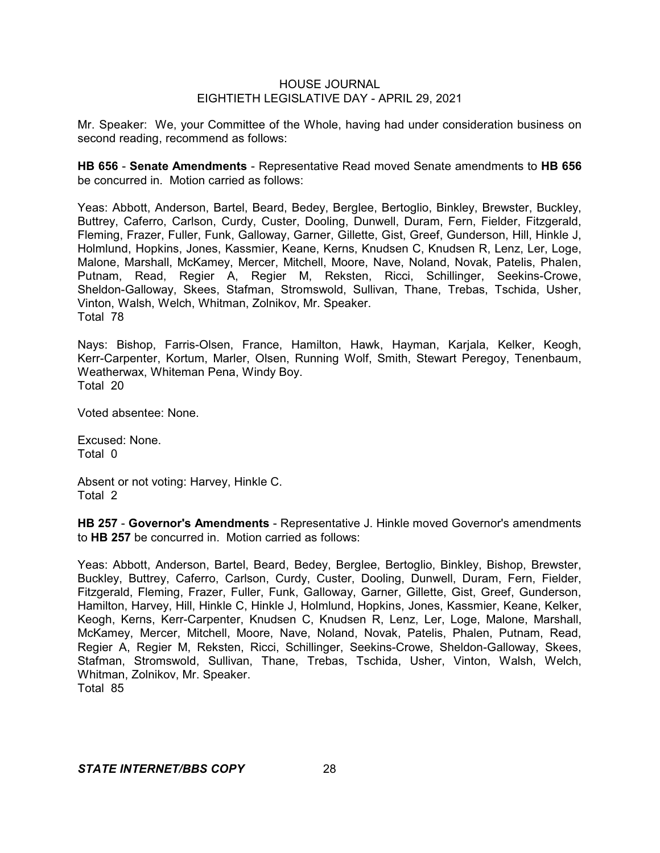Mr. Speaker: We, your Committee of the Whole, having had under consideration business on second reading, recommend as follows:

**HB 656** - **Senate Amendments** - Representative Read moved Senate amendments to **HB 656** be concurred in. Motion carried as follows:

Yeas: Abbott, Anderson, Bartel, Beard, Bedey, Berglee, Bertoglio, Binkley, Brewster, Buckley, Buttrey, Caferro, Carlson, Curdy, Custer, Dooling, Dunwell, Duram, Fern, Fielder, Fitzgerald, Fleming, Frazer, Fuller, Funk, Galloway, Garner, Gillette, Gist, Greef, Gunderson, Hill, Hinkle J, Holmlund, Hopkins, Jones, Kassmier, Keane, Kerns, Knudsen C, Knudsen R, Lenz, Ler, Loge, Malone, Marshall, McKamey, Mercer, Mitchell, Moore, Nave, Noland, Novak, Patelis, Phalen, Putnam, Read, Regier A, Regier M, Reksten, Ricci, Schillinger, Seekins-Crowe, Sheldon-Galloway, Skees, Stafman, Stromswold, Sullivan, Thane, Trebas, Tschida, Usher, Vinton, Walsh, Welch, Whitman, Zolnikov, Mr. Speaker. Total 78

Nays: Bishop, Farris-Olsen, France, Hamilton, Hawk, Hayman, Karjala, Kelker, Keogh, Kerr-Carpenter, Kortum, Marler, Olsen, Running Wolf, Smith, Stewart Peregoy, Tenenbaum, Weatherwax, Whiteman Pena, Windy Boy. Total 20

Voted absentee: None.

Excused: None. Total 0

Absent or not voting: Harvey, Hinkle C. Total 2

**HB 257** - **Governor's Amendments** - Representative J. Hinkle moved Governor's amendments to **HB 257** be concurred in. Motion carried as follows:

Yeas: Abbott, Anderson, Bartel, Beard, Bedey, Berglee, Bertoglio, Binkley, Bishop, Brewster, Buckley, Buttrey, Caferro, Carlson, Curdy, Custer, Dooling, Dunwell, Duram, Fern, Fielder, Fitzgerald, Fleming, Frazer, Fuller, Funk, Galloway, Garner, Gillette, Gist, Greef, Gunderson, Hamilton, Harvey, Hill, Hinkle C, Hinkle J, Holmlund, Hopkins, Jones, Kassmier, Keane, Kelker, Keogh, Kerns, Kerr-Carpenter, Knudsen C, Knudsen R, Lenz, Ler, Loge, Malone, Marshall, McKamey, Mercer, Mitchell, Moore, Nave, Noland, Novak, Patelis, Phalen, Putnam, Read, Regier A, Regier M, Reksten, Ricci, Schillinger, Seekins-Crowe, Sheldon-Galloway, Skees, Stafman, Stromswold, Sullivan, Thane, Trebas, Tschida, Usher, Vinton, Walsh, Welch, Whitman, Zolnikov, Mr. Speaker. Total 85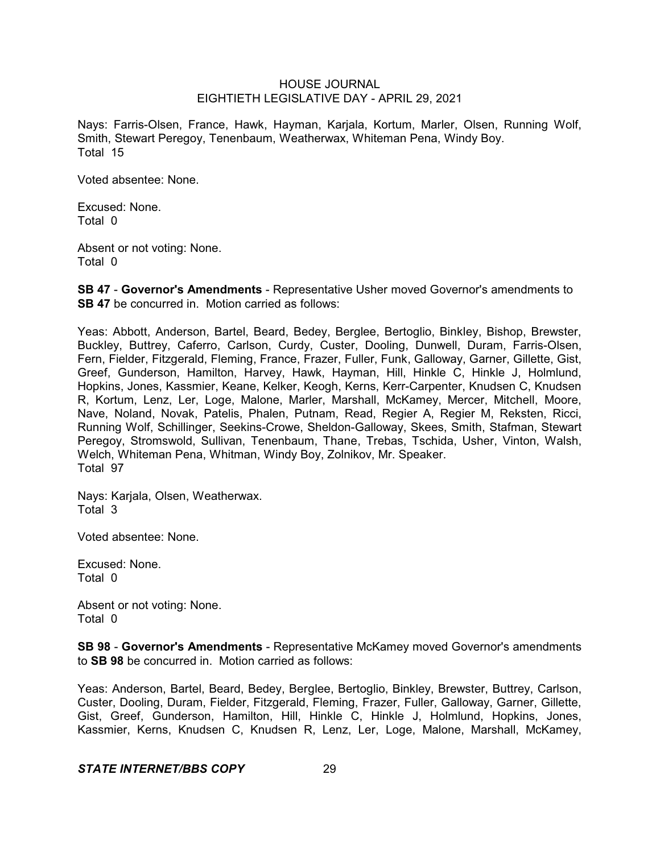Nays: Farris-Olsen, France, Hawk, Hayman, Karjala, Kortum, Marler, Olsen, Running Wolf, Smith, Stewart Peregoy, Tenenbaum, Weatherwax, Whiteman Pena, Windy Boy. Total 15

Voted absentee: None.

Excused: None. Total 0

Absent or not voting: None. Total 0

**SB 47** - **Governor's Amendments** - Representative Usher moved Governor's amendments to **SB 47** be concurred in. Motion carried as follows:

Yeas: Abbott, Anderson, Bartel, Beard, Bedey, Berglee, Bertoglio, Binkley, Bishop, Brewster, Buckley, Buttrey, Caferro, Carlson, Curdy, Custer, Dooling, Dunwell, Duram, Farris-Olsen, Fern, Fielder, Fitzgerald, Fleming, France, Frazer, Fuller, Funk, Galloway, Garner, Gillette, Gist, Greef, Gunderson, Hamilton, Harvey, Hawk, Hayman, Hill, Hinkle C, Hinkle J, Holmlund, Hopkins, Jones, Kassmier, Keane, Kelker, Keogh, Kerns, Kerr-Carpenter, Knudsen C, Knudsen R, Kortum, Lenz, Ler, Loge, Malone, Marler, Marshall, McKamey, Mercer, Mitchell, Moore, Nave, Noland, Novak, Patelis, Phalen, Putnam, Read, Regier A, Regier M, Reksten, Ricci, Running Wolf, Schillinger, Seekins-Crowe, Sheldon-Galloway, Skees, Smith, Stafman, Stewart Peregoy, Stromswold, Sullivan, Tenenbaum, Thane, Trebas, Tschida, Usher, Vinton, Walsh, Welch, Whiteman Pena, Whitman, Windy Boy, Zolnikov, Mr. Speaker. Total 97

Nays: Karjala, Olsen, Weatherwax. Total 3

Voted absentee: None.

Excused: None. Total 0

Absent or not voting: None. Total 0

**SB 98** - **Governor's Amendments** - Representative McKamey moved Governor's amendments to **SB 98** be concurred in. Motion carried as follows:

Yeas: Anderson, Bartel, Beard, Bedey, Berglee, Bertoglio, Binkley, Brewster, Buttrey, Carlson, Custer, Dooling, Duram, Fielder, Fitzgerald, Fleming, Frazer, Fuller, Galloway, Garner, Gillette, Gist, Greef, Gunderson, Hamilton, Hill, Hinkle C, Hinkle J, Holmlund, Hopkins, Jones, Kassmier, Kerns, Knudsen C, Knudsen R, Lenz, Ler, Loge, Malone, Marshall, McKamey,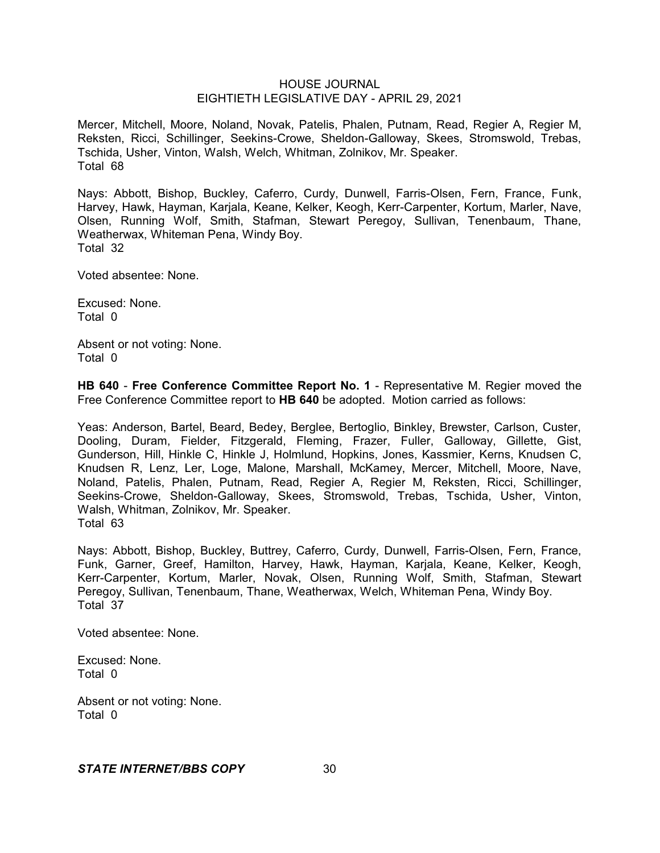Mercer, Mitchell, Moore, Noland, Novak, Patelis, Phalen, Putnam, Read, Regier A, Regier M, Reksten, Ricci, Schillinger, Seekins-Crowe, Sheldon-Galloway, Skees, Stromswold, Trebas, Tschida, Usher, Vinton, Walsh, Welch, Whitman, Zolnikov, Mr. Speaker. Total 68

Nays: Abbott, Bishop, Buckley, Caferro, Curdy, Dunwell, Farris-Olsen, Fern, France, Funk, Harvey, Hawk, Hayman, Karjala, Keane, Kelker, Keogh, Kerr-Carpenter, Kortum, Marler, Nave, Olsen, Running Wolf, Smith, Stafman, Stewart Peregoy, Sullivan, Tenenbaum, Thane, Weatherwax, Whiteman Pena, Windy Boy. Total 32

Voted absentee: None.

Excused: None. Total 0

Absent or not voting: None. Total 0

**HB 640** - **Free Conference Committee Report No. 1** - Representative M. Regier moved the Free Conference Committee report to **HB 640** be adopted. Motion carried as follows:

Yeas: Anderson, Bartel, Beard, Bedey, Berglee, Bertoglio, Binkley, Brewster, Carlson, Custer, Dooling, Duram, Fielder, Fitzgerald, Fleming, Frazer, Fuller, Galloway, Gillette, Gist, Gunderson, Hill, Hinkle C, Hinkle J, Holmlund, Hopkins, Jones, Kassmier, Kerns, Knudsen C, Knudsen R, Lenz, Ler, Loge, Malone, Marshall, McKamey, Mercer, Mitchell, Moore, Nave, Noland, Patelis, Phalen, Putnam, Read, Regier A, Regier M, Reksten, Ricci, Schillinger, Seekins-Crowe, Sheldon-Galloway, Skees, Stromswold, Trebas, Tschida, Usher, Vinton, Walsh, Whitman, Zolnikov, Mr. Speaker. Total 63

Nays: Abbott, Bishop, Buckley, Buttrey, Caferro, Curdy, Dunwell, Farris-Olsen, Fern, France, Funk, Garner, Greef, Hamilton, Harvey, Hawk, Hayman, Karjala, Keane, Kelker, Keogh, Kerr-Carpenter, Kortum, Marler, Novak, Olsen, Running Wolf, Smith, Stafman, Stewart Peregoy, Sullivan, Tenenbaum, Thane, Weatherwax, Welch, Whiteman Pena, Windy Boy. Total 37

Voted absentee: None.

Excused: None. Total 0

Absent or not voting: None. Total 0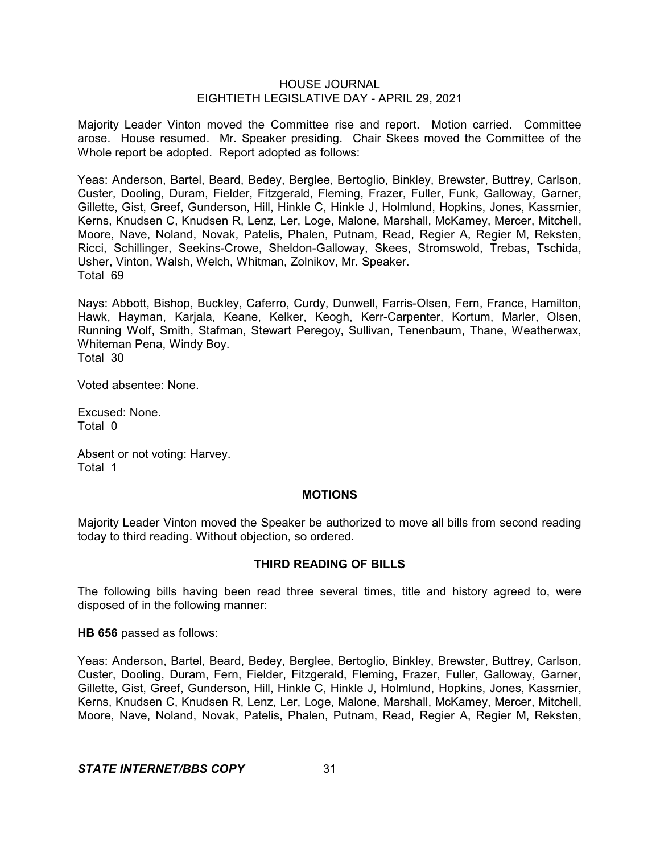Majority Leader Vinton moved the Committee rise and report. Motion carried. Committee arose. House resumed. Mr. Speaker presiding. Chair Skees moved the Committee of the Whole report be adopted. Report adopted as follows:

Yeas: Anderson, Bartel, Beard, Bedey, Berglee, Bertoglio, Binkley, Brewster, Buttrey, Carlson, Custer, Dooling, Duram, Fielder, Fitzgerald, Fleming, Frazer, Fuller, Funk, Galloway, Garner, Gillette, Gist, Greef, Gunderson, Hill, Hinkle C, Hinkle J, Holmlund, Hopkins, Jones, Kassmier, Kerns, Knudsen C, Knudsen R, Lenz, Ler, Loge, Malone, Marshall, McKamey, Mercer, Mitchell, Moore, Nave, Noland, Novak, Patelis, Phalen, Putnam, Read, Regier A, Regier M, Reksten, Ricci, Schillinger, Seekins-Crowe, Sheldon-Galloway, Skees, Stromswold, Trebas, Tschida, Usher, Vinton, Walsh, Welch, Whitman, Zolnikov, Mr. Speaker. Total 69

Nays: Abbott, Bishop, Buckley, Caferro, Curdy, Dunwell, Farris-Olsen, Fern, France, Hamilton, Hawk, Hayman, Karjala, Keane, Kelker, Keogh, Kerr-Carpenter, Kortum, Marler, Olsen, Running Wolf, Smith, Stafman, Stewart Peregoy, Sullivan, Tenenbaum, Thane, Weatherwax, Whiteman Pena, Windy Boy.

Total 30

Voted absentee: None.

Excused: None. Total 0

Absent or not voting: Harvey. Total 1

#### **MOTIONS**

Majority Leader Vinton moved the Speaker be authorized to move all bills from second reading today to third reading. Without objection, so ordered.

## **THIRD READING OF BILLS**

The following bills having been read three several times, title and history agreed to, were disposed of in the following manner:

**HB 656** passed as follows:

Yeas: Anderson, Bartel, Beard, Bedey, Berglee, Bertoglio, Binkley, Brewster, Buttrey, Carlson, Custer, Dooling, Duram, Fern, Fielder, Fitzgerald, Fleming, Frazer, Fuller, Galloway, Garner, Gillette, Gist, Greef, Gunderson, Hill, Hinkle C, Hinkle J, Holmlund, Hopkins, Jones, Kassmier, Kerns, Knudsen C, Knudsen R, Lenz, Ler, Loge, Malone, Marshall, McKamey, Mercer, Mitchell, Moore, Nave, Noland, Novak, Patelis, Phalen, Putnam, Read, Regier A, Regier M, Reksten,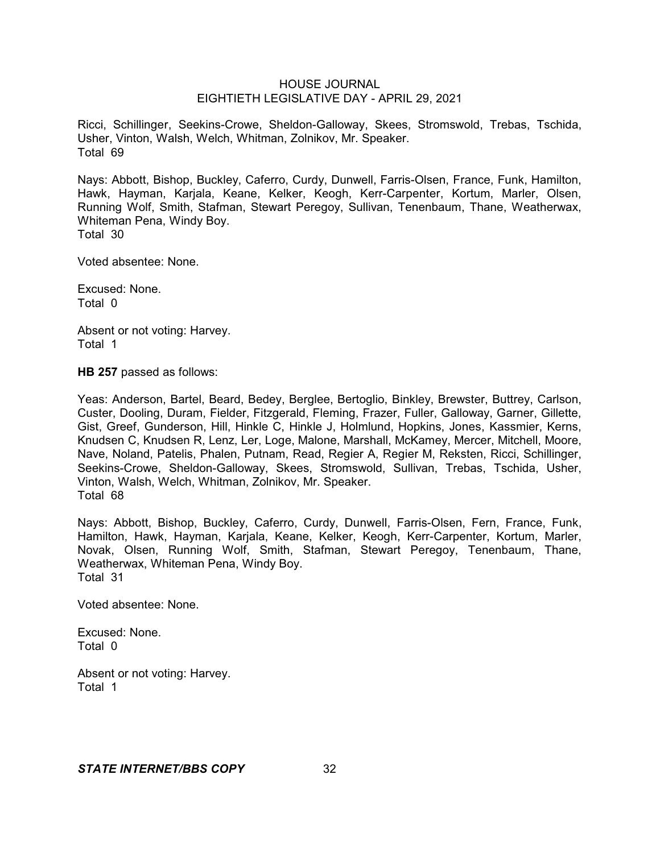Ricci, Schillinger, Seekins-Crowe, Sheldon-Galloway, Skees, Stromswold, Trebas, Tschida, Usher, Vinton, Walsh, Welch, Whitman, Zolnikov, Mr. Speaker. Total 69

Nays: Abbott, Bishop, Buckley, Caferro, Curdy, Dunwell, Farris-Olsen, France, Funk, Hamilton, Hawk, Hayman, Karjala, Keane, Kelker, Keogh, Kerr-Carpenter, Kortum, Marler, Olsen, Running Wolf, Smith, Stafman, Stewart Peregoy, Sullivan, Tenenbaum, Thane, Weatherwax, Whiteman Pena, Windy Boy. Total 30

Voted absentee: None.

Excused: None. Total 0

Absent or not voting: Harvey. Total 1

**HB 257** passed as follows:

Yeas: Anderson, Bartel, Beard, Bedey, Berglee, Bertoglio, Binkley, Brewster, Buttrey, Carlson, Custer, Dooling, Duram, Fielder, Fitzgerald, Fleming, Frazer, Fuller, Galloway, Garner, Gillette, Gist, Greef, Gunderson, Hill, Hinkle C, Hinkle J, Holmlund, Hopkins, Jones, Kassmier, Kerns, Knudsen C, Knudsen R, Lenz, Ler, Loge, Malone, Marshall, McKamey, Mercer, Mitchell, Moore, Nave, Noland, Patelis, Phalen, Putnam, Read, Regier A, Regier M, Reksten, Ricci, Schillinger, Seekins-Crowe, Sheldon-Galloway, Skees, Stromswold, Sullivan, Trebas, Tschida, Usher, Vinton, Walsh, Welch, Whitman, Zolnikov, Mr. Speaker. Total 68

Nays: Abbott, Bishop, Buckley, Caferro, Curdy, Dunwell, Farris-Olsen, Fern, France, Funk, Hamilton, Hawk, Hayman, Karjala, Keane, Kelker, Keogh, Kerr-Carpenter, Kortum, Marler, Novak, Olsen, Running Wolf, Smith, Stafman, Stewart Peregoy, Tenenbaum, Thane, Weatherwax, Whiteman Pena, Windy Boy. Total 31

Voted absentee: None.

Excused: None. Total 0

Absent or not voting: Harvey. Total 1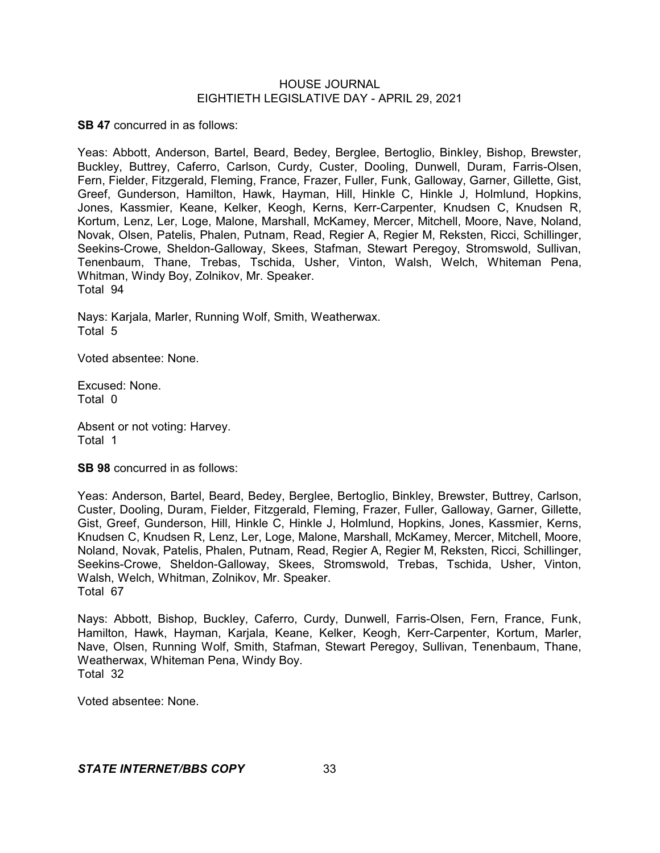**SB 47** concurred in as follows:

Yeas: Abbott, Anderson, Bartel, Beard, Bedey, Berglee, Bertoglio, Binkley, Bishop, Brewster, Buckley, Buttrey, Caferro, Carlson, Curdy, Custer, Dooling, Dunwell, Duram, Farris-Olsen, Fern, Fielder, Fitzgerald, Fleming, France, Frazer, Fuller, Funk, Galloway, Garner, Gillette, Gist, Greef, Gunderson, Hamilton, Hawk, Hayman, Hill, Hinkle C, Hinkle J, Holmlund, Hopkins, Jones, Kassmier, Keane, Kelker, Keogh, Kerns, Kerr-Carpenter, Knudsen C, Knudsen R, Kortum, Lenz, Ler, Loge, Malone, Marshall, McKamey, Mercer, Mitchell, Moore, Nave, Noland, Novak, Olsen, Patelis, Phalen, Putnam, Read, Regier A, Regier M, Reksten, Ricci, Schillinger, Seekins-Crowe, Sheldon-Galloway, Skees, Stafman, Stewart Peregoy, Stromswold, Sullivan, Tenenbaum, Thane, Trebas, Tschida, Usher, Vinton, Walsh, Welch, Whiteman Pena, Whitman, Windy Boy, Zolnikov, Mr. Speaker. Total 94

Nays: Karjala, Marler, Running Wolf, Smith, Weatherwax. Total 5

Voted absentee: None.

Excused: None. Total 0

Absent or not voting: Harvey. Total 1

**SB 98** concurred in as follows:

Yeas: Anderson, Bartel, Beard, Bedey, Berglee, Bertoglio, Binkley, Brewster, Buttrey, Carlson, Custer, Dooling, Duram, Fielder, Fitzgerald, Fleming, Frazer, Fuller, Galloway, Garner, Gillette, Gist, Greef, Gunderson, Hill, Hinkle C, Hinkle J, Holmlund, Hopkins, Jones, Kassmier, Kerns, Knudsen C, Knudsen R, Lenz, Ler, Loge, Malone, Marshall, McKamey, Mercer, Mitchell, Moore, Noland, Novak, Patelis, Phalen, Putnam, Read, Regier A, Regier M, Reksten, Ricci, Schillinger, Seekins-Crowe, Sheldon-Galloway, Skees, Stromswold, Trebas, Tschida, Usher, Vinton, Walsh, Welch, Whitman, Zolnikov, Mr. Speaker. Total 67

Nays: Abbott, Bishop, Buckley, Caferro, Curdy, Dunwell, Farris-Olsen, Fern, France, Funk, Hamilton, Hawk, Hayman, Karjala, Keane, Kelker, Keogh, Kerr-Carpenter, Kortum, Marler, Nave, Olsen, Running Wolf, Smith, Stafman, Stewart Peregoy, Sullivan, Tenenbaum, Thane, Weatherwax, Whiteman Pena, Windy Boy. Total 32

Voted absentee: None.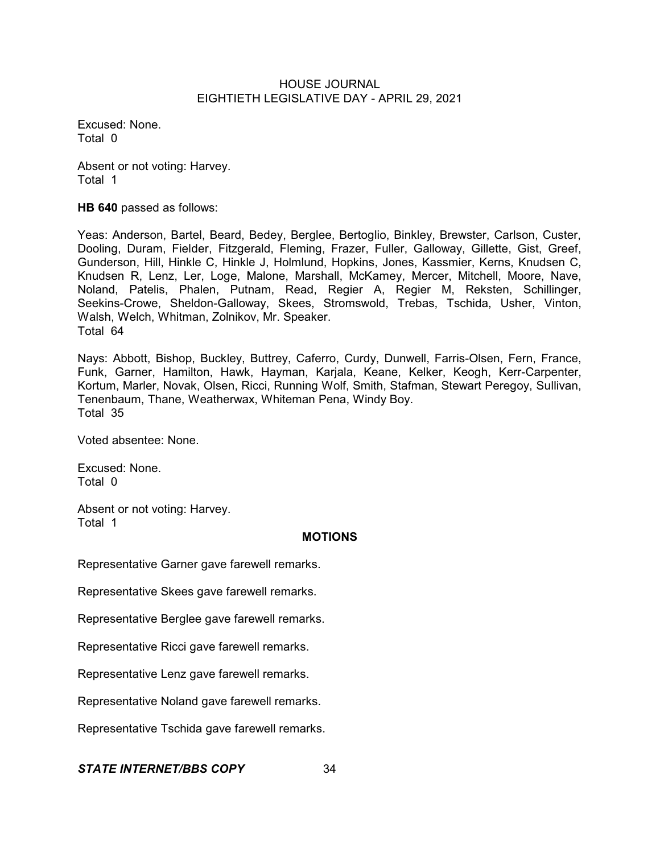Excused: None. Total 0

Absent or not voting: Harvey. Total 1

**HB 640** passed as follows:

Yeas: Anderson, Bartel, Beard, Bedey, Berglee, Bertoglio, Binkley, Brewster, Carlson, Custer, Dooling, Duram, Fielder, Fitzgerald, Fleming, Frazer, Fuller, Galloway, Gillette, Gist, Greef, Gunderson, Hill, Hinkle C, Hinkle J, Holmlund, Hopkins, Jones, Kassmier, Kerns, Knudsen C, Knudsen R, Lenz, Ler, Loge, Malone, Marshall, McKamey, Mercer, Mitchell, Moore, Nave, Noland, Patelis, Phalen, Putnam, Read, Regier A, Regier M, Reksten, Schillinger, Seekins-Crowe, Sheldon-Galloway, Skees, Stromswold, Trebas, Tschida, Usher, Vinton, Walsh, Welch, Whitman, Zolnikov, Mr. Speaker. Total 64

Nays: Abbott, Bishop, Buckley, Buttrey, Caferro, Curdy, Dunwell, Farris-Olsen, Fern, France, Funk, Garner, Hamilton, Hawk, Hayman, Karjala, Keane, Kelker, Keogh, Kerr-Carpenter, Kortum, Marler, Novak, Olsen, Ricci, Running Wolf, Smith, Stafman, Stewart Peregoy, Sullivan, Tenenbaum, Thane, Weatherwax, Whiteman Pena, Windy Boy. Total 35

Voted absentee: None.

Excused: None. Total 0

Absent or not voting: Harvey. Total 1

## **MOTIONS**

Representative Garner gave farewell remarks.

Representative Skees gave farewell remarks.

Representative Berglee gave farewell remarks.

Representative Ricci gave farewell remarks.

Representative Lenz gave farewell remarks.

Representative Noland gave farewell remarks.

Representative Tschida gave farewell remarks.